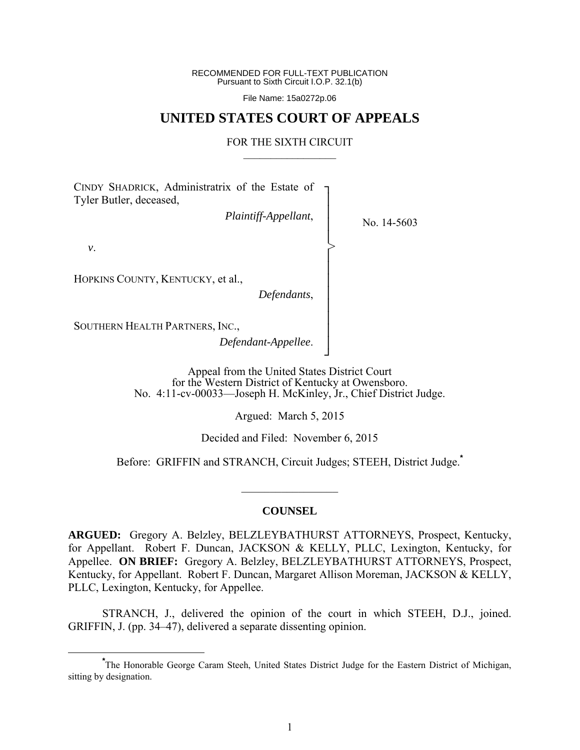RECOMMENDED FOR FULL-TEXT PUBLICATION Pursuant to Sixth Circuit I.O.P. 32.1(b)

File Name: 15a0272p.06

# **UNITED STATES COURT OF APPEALS**

#### FOR THE SIXTH CIRCUIT  $\mathcal{L}_\text{max}$

┐ │ │ │ │ │ │ │ │ │ │ │ │ ┘

>

CINDY SHADRICK, Administratrix of the Estate of Tyler Butler, deceased,

*Plaintiff-Appellant*,

No. 14-5603

 *v*.

HOPKINS COUNTY, KENTUCKY, et al.,

*Defendants*,

SOUTHERN HEALTH PARTNERS, INC.,

*Defendant-Appellee*.

Appeal from the United States District Court for the Western District of Kentucky at Owensboro. No. 4:11-cv-00033—Joseph H. McKinley, Jr., Chief District Judge.

Argued: March 5, 2015

Decided and Filed: November 6, 2015

Before: GRIFFIN and STRANCH, Circuit Judges; STEEH, District Judge.**\***

#### **COUNSEL**

 $\frac{1}{2}$  ,  $\frac{1}{2}$  ,  $\frac{1}{2}$  ,  $\frac{1}{2}$  ,  $\frac{1}{2}$  ,  $\frac{1}{2}$  ,  $\frac{1}{2}$  ,  $\frac{1}{2}$  ,  $\frac{1}{2}$ 

**ARGUED:** Gregory A. Belzley, BELZLEYBATHURST ATTORNEYS, Prospect, Kentucky, for Appellant. Robert F. Duncan, JACKSON & KELLY, PLLC, Lexington, Kentucky, for Appellee. **ON BRIEF:** Gregory A. Belzley, BELZLEYBATHURST ATTORNEYS, Prospect, Kentucky, for Appellant. Robert F. Duncan, Margaret Allison Moreman, JACKSON & KELLY, PLLC, Lexington, Kentucky, for Appellee.

 STRANCH, J., delivered the opinion of the court in which STEEH, D.J., joined. GRIFFIN, J. (pp. 34–47), delivered a separate dissenting opinion.

**\*** The Honorable George Caram Steeh, United States District Judge for the Eastern District of Michigan, sitting by designation.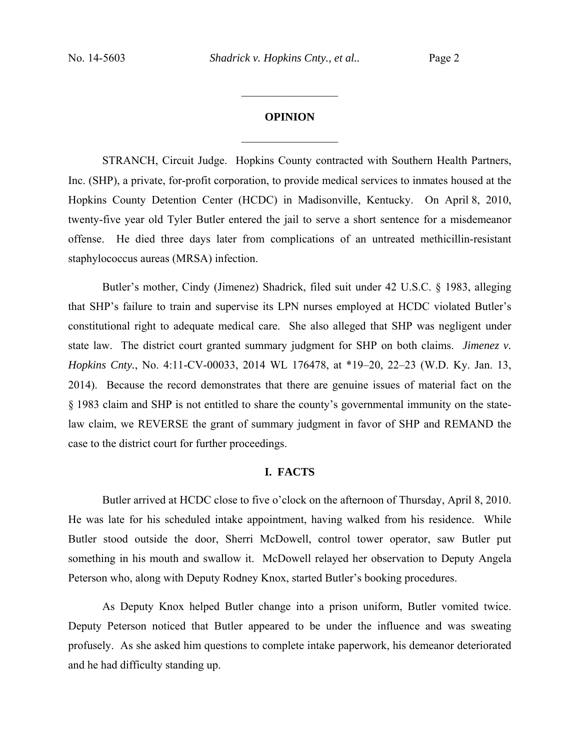#### **OPINION**

 $\frac{1}{2}$ 

 $\frac{1}{2}$  ,  $\frac{1}{2}$  ,  $\frac{1}{2}$  ,  $\frac{1}{2}$  ,  $\frac{1}{2}$  ,  $\frac{1}{2}$  ,  $\frac{1}{2}$  ,  $\frac{1}{2}$  ,  $\frac{1}{2}$ 

STRANCH, Circuit Judge. Hopkins County contracted with Southern Health Partners, Inc. (SHP), a private, for-profit corporation, to provide medical services to inmates housed at the Hopkins County Detention Center (HCDC) in Madisonville, Kentucky. On April 8, 2010, twenty-five year old Tyler Butler entered the jail to serve a short sentence for a misdemeanor offense. He died three days later from complications of an untreated methicillin-resistant staphylococcus aureas (MRSA) infection.

Butler's mother, Cindy (Jimenez) Shadrick, filed suit under 42 U.S.C. § 1983, alleging that SHP's failure to train and supervise its LPN nurses employed at HCDC violated Butler's constitutional right to adequate medical care. She also alleged that SHP was negligent under state law. The district court granted summary judgment for SHP on both claims. *Jimenez v. Hopkins Cnty.*, No. 4:11-CV-00033, 2014 WL 176478, at \*19–20, 22–23 (W.D. Ky. Jan. 13, 2014). Because the record demonstrates that there are genuine issues of material fact on the § 1983 claim and SHP is not entitled to share the county's governmental immunity on the statelaw claim, we REVERSE the grant of summary judgment in favor of SHP and REMAND the case to the district court for further proceedings.

#### **I. FACTS**

 Butler arrived at HCDC close to five o'clock on the afternoon of Thursday, April 8, 2010. He was late for his scheduled intake appointment, having walked from his residence. While Butler stood outside the door, Sherri McDowell, control tower operator, saw Butler put something in his mouth and swallow it. McDowell relayed her observation to Deputy Angela Peterson who, along with Deputy Rodney Knox, started Butler's booking procedures.

As Deputy Knox helped Butler change into a prison uniform, Butler vomited twice. Deputy Peterson noticed that Butler appeared to be under the influence and was sweating profusely. As she asked him questions to complete intake paperwork, his demeanor deteriorated and he had difficulty standing up.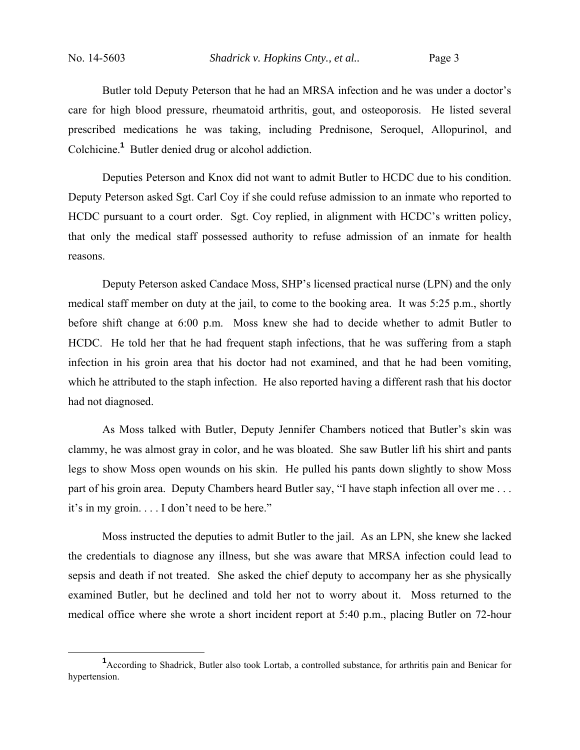Butler told Deputy Peterson that he had an MRSA infection and he was under a doctor's care for high blood pressure, rheumatoid arthritis, gout, and osteoporosis. He listed several prescribed medications he was taking, including Prednisone, Seroquel, Allopurinol, and Colchicine.**<sup>1</sup>** Butler denied drug or alcohol addiction.

Deputies Peterson and Knox did not want to admit Butler to HCDC due to his condition. Deputy Peterson asked Sgt. Carl Coy if she could refuse admission to an inmate who reported to HCDC pursuant to a court order. Sgt. Coy replied, in alignment with HCDC's written policy, that only the medical staff possessed authority to refuse admission of an inmate for health reasons.

Deputy Peterson asked Candace Moss, SHP's licensed practical nurse (LPN) and the only medical staff member on duty at the jail, to come to the booking area. It was 5:25 p.m., shortly before shift change at 6:00 p.m. Moss knew she had to decide whether to admit Butler to HCDC. He told her that he had frequent staph infections, that he was suffering from a staph infection in his groin area that his doctor had not examined, and that he had been vomiting, which he attributed to the staph infection. He also reported having a different rash that his doctor had not diagnosed.

As Moss talked with Butler, Deputy Jennifer Chambers noticed that Butler's skin was clammy, he was almost gray in color, and he was bloated. She saw Butler lift his shirt and pants legs to show Moss open wounds on his skin. He pulled his pants down slightly to show Moss part of his groin area. Deputy Chambers heard Butler say, "I have staph infection all over me... it's in my groin. . . . I don't need to be here."

Moss instructed the deputies to admit Butler to the jail. As an LPN, she knew she lacked the credentials to diagnose any illness, but she was aware that MRSA infection could lead to sepsis and death if not treated. She asked the chief deputy to accompany her as she physically examined Butler, but he declined and told her not to worry about it. Moss returned to the medical office where she wrote a short incident report at 5:40 p.m., placing Butler on 72-hour

 $\frac{1}{1}$ <sup>1</sup> According to Shadrick, Butler also took Lortab, a controlled substance, for arthritis pain and Benicar for hypertension.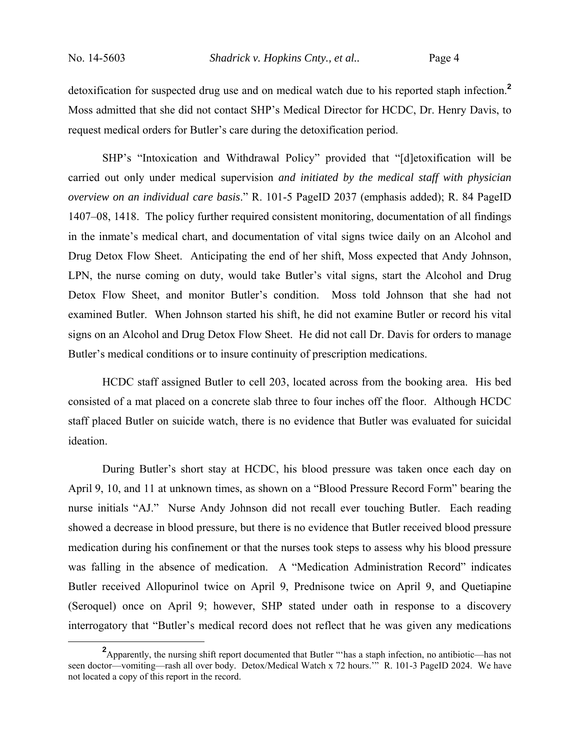detoxification for suspected drug use and on medical watch due to his reported staph infection.**<sup>2</sup>** Moss admitted that she did not contact SHP's Medical Director for HCDC, Dr. Henry Davis, to request medical orders for Butler's care during the detoxification period.

SHP's "Intoxication and Withdrawal Policy" provided that "[d]etoxification will be carried out only under medical supervision *and initiated by the medical staff with physician overview on an individual care basis*." R. 101-5 PageID 2037 (emphasis added); R. 84 PageID 1407–08, 1418. The policy further required consistent monitoring, documentation of all findings in the inmate's medical chart, and documentation of vital signs twice daily on an Alcohol and Drug Detox Flow Sheet. Anticipating the end of her shift, Moss expected that Andy Johnson, LPN, the nurse coming on duty, would take Butler's vital signs, start the Alcohol and Drug Detox Flow Sheet, and monitor Butler's condition. Moss told Johnson that she had not examined Butler. When Johnson started his shift, he did not examine Butler or record his vital signs on an Alcohol and Drug Detox Flow Sheet. He did not call Dr. Davis for orders to manage Butler's medical conditions or to insure continuity of prescription medications.

HCDC staff assigned Butler to cell 203, located across from the booking area. His bed consisted of a mat placed on a concrete slab three to four inches off the floor. Although HCDC staff placed Butler on suicide watch, there is no evidence that Butler was evaluated for suicidal ideation.

During Butler's short stay at HCDC, his blood pressure was taken once each day on April 9, 10, and 11 at unknown times, as shown on a "Blood Pressure Record Form" bearing the nurse initials "AJ." Nurse Andy Johnson did not recall ever touching Butler. Each reading showed a decrease in blood pressure, but there is no evidence that Butler received blood pressure medication during his confinement or that the nurses took steps to assess why his blood pressure was falling in the absence of medication. A "Medication Administration Record" indicates Butler received Allopurinol twice on April 9, Prednisone twice on April 9, and Quetiapine (Seroquel) once on April 9; however, SHP stated under oath in response to a discovery interrogatory that "Butler's medical record does not reflect that he was given any medications

**<sup>2</sup>** Apparently, the nursing shift report documented that Butler "'has a staph infection, no antibiotic—has not seen doctor—vomiting—rash all over body. Detox/Medical Watch x 72 hours.'" R. 101-3 PageID 2024. We have not located a copy of this report in the record.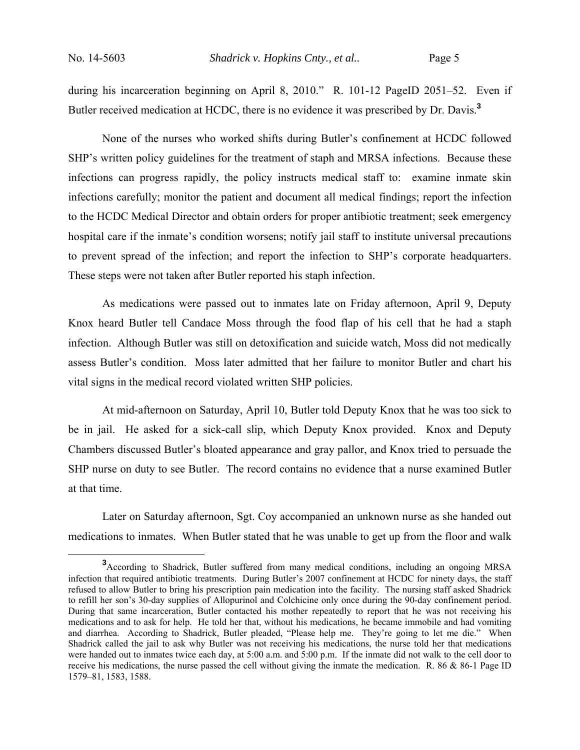during his incarceration beginning on April 8, 2010." R. 101-12 PageID 2051–52. Even if Butler received medication at HCDC, there is no evidence it was prescribed by Dr. Davis.**<sup>3</sup>**

 None of the nurses who worked shifts during Butler's confinement at HCDC followed SHP's written policy guidelines for the treatment of staph and MRSA infections. Because these infections can progress rapidly, the policy instructs medical staff to: examine inmate skin infections carefully; monitor the patient and document all medical findings; report the infection to the HCDC Medical Director and obtain orders for proper antibiotic treatment; seek emergency hospital care if the inmate's condition worsens; notify jail staff to institute universal precautions to prevent spread of the infection; and report the infection to SHP's corporate headquarters. These steps were not taken after Butler reported his staph infection.

 As medications were passed out to inmates late on Friday afternoon, April 9, Deputy Knox heard Butler tell Candace Moss through the food flap of his cell that he had a staph infection. Although Butler was still on detoxification and suicide watch, Moss did not medically assess Butler's condition. Moss later admitted that her failure to monitor Butler and chart his vital signs in the medical record violated written SHP policies.

At mid-afternoon on Saturday, April 10, Butler told Deputy Knox that he was too sick to be in jail. He asked for a sick-call slip, which Deputy Knox provided. Knox and Deputy Chambers discussed Butler's bloated appearance and gray pallor, and Knox tried to persuade the SHP nurse on duty to see Butler. The record contains no evidence that a nurse examined Butler at that time.

Later on Saturday afternoon, Sgt. Coy accompanied an unknown nurse as she handed out medications to inmates. When Butler stated that he was unable to get up from the floor and walk

**<sup>3</sup>** According to Shadrick, Butler suffered from many medical conditions, including an ongoing MRSA infection that required antibiotic treatments. During Butler's 2007 confinement at HCDC for ninety days, the staff refused to allow Butler to bring his prescription pain medication into the facility. The nursing staff asked Shadrick to refill her son's 30-day supplies of Allopurinol and Colchicine only once during the 90-day confinement period. During that same incarceration, Butler contacted his mother repeatedly to report that he was not receiving his medications and to ask for help. He told her that, without his medications, he became immobile and had vomiting and diarrhea. According to Shadrick, Butler pleaded, "Please help me. They're going to let me die." When Shadrick called the jail to ask why Butler was not receiving his medications, the nurse told her that medications were handed out to inmates twice each day, at 5:00 a.m. and 5:00 p.m. If the inmate did not walk to the cell door to receive his medications, the nurse passed the cell without giving the inmate the medication. R. 86 & 86-1 Page ID 1579–81, 1583, 1588.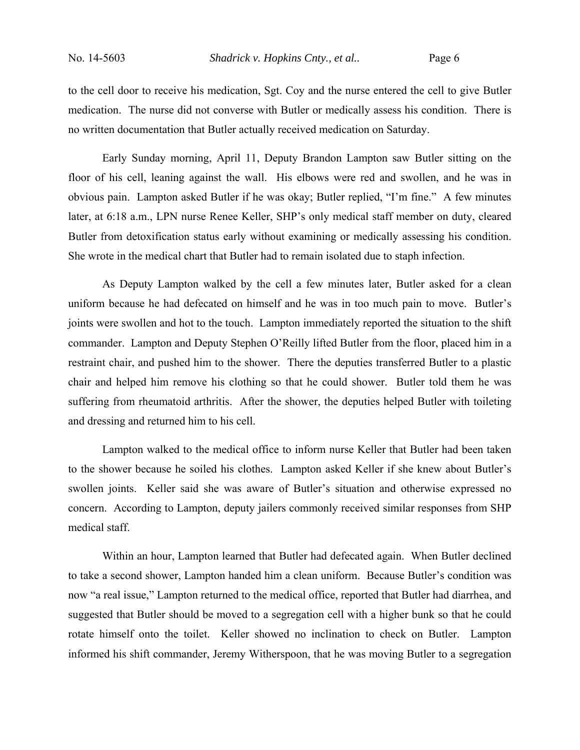to the cell door to receive his medication, Sgt. Coy and the nurse entered the cell to give Butler medication. The nurse did not converse with Butler or medically assess his condition. There is no written documentation that Butler actually received medication on Saturday.

Early Sunday morning, April 11, Deputy Brandon Lampton saw Butler sitting on the floor of his cell, leaning against the wall. His elbows were red and swollen, and he was in obvious pain. Lampton asked Butler if he was okay; Butler replied, "I'm fine." A few minutes later, at 6:18 a.m., LPN nurse Renee Keller, SHP's only medical staff member on duty, cleared Butler from detoxification status early without examining or medically assessing his condition. She wrote in the medical chart that Butler had to remain isolated due to staph infection.

As Deputy Lampton walked by the cell a few minutes later, Butler asked for a clean uniform because he had defecated on himself and he was in too much pain to move. Butler's joints were swollen and hot to the touch. Lampton immediately reported the situation to the shift commander. Lampton and Deputy Stephen O'Reilly lifted Butler from the floor, placed him in a restraint chair, and pushed him to the shower. There the deputies transferred Butler to a plastic chair and helped him remove his clothing so that he could shower. Butler told them he was suffering from rheumatoid arthritis. After the shower, the deputies helped Butler with toileting and dressing and returned him to his cell.

Lampton walked to the medical office to inform nurse Keller that Butler had been taken to the shower because he soiled his clothes. Lampton asked Keller if she knew about Butler's swollen joints. Keller said she was aware of Butler's situation and otherwise expressed no concern. According to Lampton, deputy jailers commonly received similar responses from SHP medical staff.

Within an hour, Lampton learned that Butler had defecated again. When Butler declined to take a second shower, Lampton handed him a clean uniform. Because Butler's condition was now "a real issue," Lampton returned to the medical office, reported that Butler had diarrhea, and suggested that Butler should be moved to a segregation cell with a higher bunk so that he could rotate himself onto the toilet. Keller showed no inclination to check on Butler. Lampton informed his shift commander, Jeremy Witherspoon, that he was moving Butler to a segregation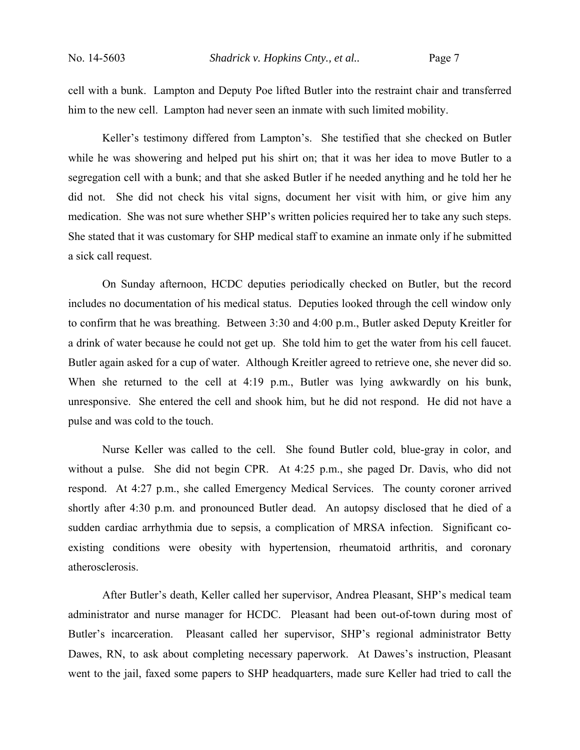cell with a bunk. Lampton and Deputy Poe lifted Butler into the restraint chair and transferred him to the new cell. Lampton had never seen an inmate with such limited mobility.

Keller's testimony differed from Lampton's. She testified that she checked on Butler while he was showering and helped put his shirt on; that it was her idea to move Butler to a segregation cell with a bunk; and that she asked Butler if he needed anything and he told her he did not. She did not check his vital signs, document her visit with him, or give him any medication. She was not sure whether SHP's written policies required her to take any such steps. She stated that it was customary for SHP medical staff to examine an inmate only if he submitted a sick call request.

On Sunday afternoon, HCDC deputies periodically checked on Butler, but the record includes no documentation of his medical status. Deputies looked through the cell window only to confirm that he was breathing. Between 3:30 and 4:00 p.m., Butler asked Deputy Kreitler for a drink of water because he could not get up. She told him to get the water from his cell faucet. Butler again asked for a cup of water. Although Kreitler agreed to retrieve one, she never did so. When she returned to the cell at 4:19 p.m., Butler was lying awkwardly on his bunk, unresponsive. She entered the cell and shook him, but he did not respond. He did not have a pulse and was cold to the touch.

Nurse Keller was called to the cell. She found Butler cold, blue-gray in color, and without a pulse. She did not begin CPR. At 4:25 p.m., she paged Dr. Davis, who did not respond. At 4:27 p.m., she called Emergency Medical Services. The county coroner arrived shortly after 4:30 p.m. and pronounced Butler dead. An autopsy disclosed that he died of a sudden cardiac arrhythmia due to sepsis, a complication of MRSA infection. Significant coexisting conditions were obesity with hypertension, rheumatoid arthritis, and coronary atherosclerosis.

After Butler's death, Keller called her supervisor, Andrea Pleasant, SHP's medical team administrator and nurse manager for HCDC. Pleasant had been out-of-town during most of Butler's incarceration. Pleasant called her supervisor, SHP's regional administrator Betty Dawes, RN, to ask about completing necessary paperwork. At Dawes's instruction, Pleasant went to the jail, faxed some papers to SHP headquarters, made sure Keller had tried to call the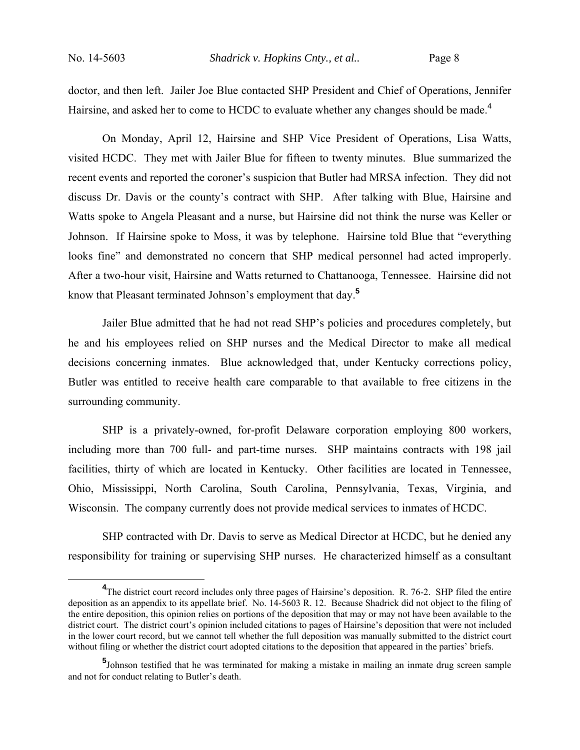doctor, and then left. Jailer Joe Blue contacted SHP President and Chief of Operations, Jennifer Hairsine, and asked her to come to HCDC to evaluate whether any changes should be made.<sup>4</sup>

On Monday, April 12, Hairsine and SHP Vice President of Operations, Lisa Watts, visited HCDC. They met with Jailer Blue for fifteen to twenty minutes. Blue summarized the recent events and reported the coroner's suspicion that Butler had MRSA infection. They did not discuss Dr. Davis or the county's contract with SHP. After talking with Blue, Hairsine and Watts spoke to Angela Pleasant and a nurse, but Hairsine did not think the nurse was Keller or Johnson. If Hairsine spoke to Moss, it was by telephone. Hairsine told Blue that "everything looks fine" and demonstrated no concern that SHP medical personnel had acted improperly. After a two-hour visit, Hairsine and Watts returned to Chattanooga, Tennessee. Hairsine did not know that Pleasant terminated Johnson's employment that day.**<sup>5</sup>**

Jailer Blue admitted that he had not read SHP's policies and procedures completely, but he and his employees relied on SHP nurses and the Medical Director to make all medical decisions concerning inmates. Blue acknowledged that, under Kentucky corrections policy, Butler was entitled to receive health care comparable to that available to free citizens in the surrounding community.

SHP is a privately-owned, for-profit Delaware corporation employing 800 workers, including more than 700 full- and part-time nurses. SHP maintains contracts with 198 jail facilities, thirty of which are located in Kentucky. Other facilities are located in Tennessee, Ohio, Mississippi, North Carolina, South Carolina, Pennsylvania, Texas, Virginia, and Wisconsin. The company currently does not provide medical services to inmates of HCDC.

SHP contracted with Dr. Davis to serve as Medical Director at HCDC, but he denied any responsibility for training or supervising SHP nurses. He characterized himself as a consultant

**<sup>4</sup>** <sup>4</sup>The district court record includes only three pages of Hairsine's deposition. R. 76-2. SHP filed the entire deposition as an appendix to its appellate brief. No. 14-5603 R. 12. Because Shadrick did not object to the filing of the entire deposition, this opinion relies on portions of the deposition that may or may not have been available to the district court. The district court's opinion included citations to pages of Hairsine's deposition that were not included in the lower court record, but we cannot tell whether the full deposition was manually submitted to the district court without filing or whether the district court adopted citations to the deposition that appeared in the parties' briefs.

**<sup>5</sup>** Johnson testified that he was terminated for making a mistake in mailing an inmate drug screen sample and not for conduct relating to Butler's death.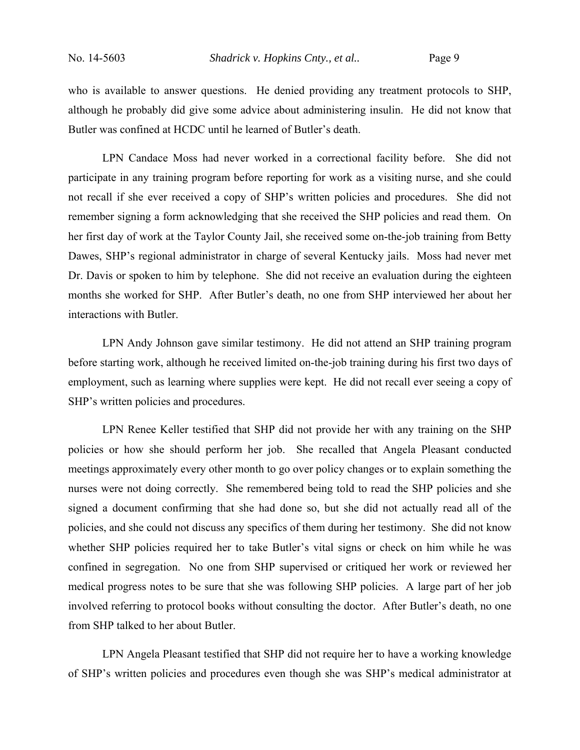who is available to answer questions. He denied providing any treatment protocols to SHP, although he probably did give some advice about administering insulin. He did not know that Butler was confined at HCDC until he learned of Butler's death.

LPN Candace Moss had never worked in a correctional facility before. She did not participate in any training program before reporting for work as a visiting nurse, and she could not recall if she ever received a copy of SHP's written policies and procedures. She did not remember signing a form acknowledging that she received the SHP policies and read them. On her first day of work at the Taylor County Jail, she received some on-the-job training from Betty Dawes, SHP's regional administrator in charge of several Kentucky jails. Moss had never met Dr. Davis or spoken to him by telephone. She did not receive an evaluation during the eighteen months she worked for SHP. After Butler's death, no one from SHP interviewed her about her interactions with Butler.

LPN Andy Johnson gave similar testimony. He did not attend an SHP training program before starting work, although he received limited on-the-job training during his first two days of employment, such as learning where supplies were kept. He did not recall ever seeing a copy of SHP's written policies and procedures.

LPN Renee Keller testified that SHP did not provide her with any training on the SHP policies or how she should perform her job. She recalled that Angela Pleasant conducted meetings approximately every other month to go over policy changes or to explain something the nurses were not doing correctly. She remembered being told to read the SHP policies and she signed a document confirming that she had done so, but she did not actually read all of the policies, and she could not discuss any specifics of them during her testimony. She did not know whether SHP policies required her to take Butler's vital signs or check on him while he was confined in segregation. No one from SHP supervised or critiqued her work or reviewed her medical progress notes to be sure that she was following SHP policies. A large part of her job involved referring to protocol books without consulting the doctor. After Butler's death, no one from SHP talked to her about Butler.

LPN Angela Pleasant testified that SHP did not require her to have a working knowledge of SHP's written policies and procedures even though she was SHP's medical administrator at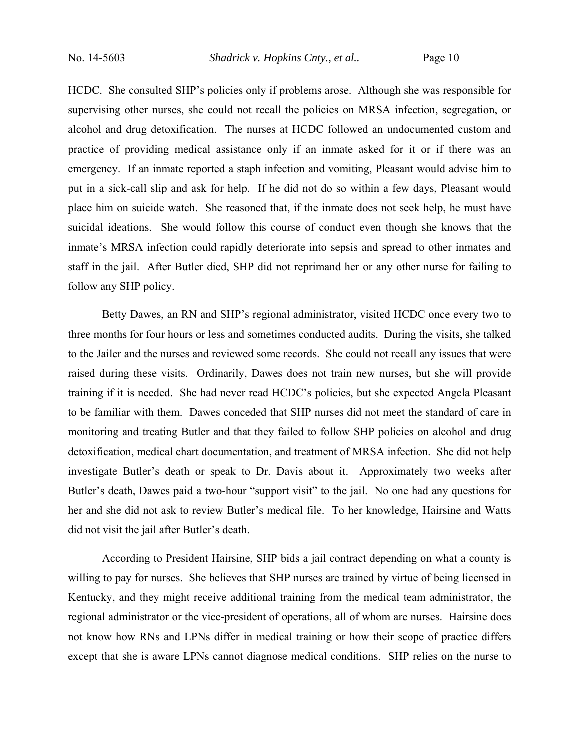HCDC. She consulted SHP's policies only if problems arose. Although she was responsible for supervising other nurses, she could not recall the policies on MRSA infection, segregation, or alcohol and drug detoxification. The nurses at HCDC followed an undocumented custom and practice of providing medical assistance only if an inmate asked for it or if there was an emergency. If an inmate reported a staph infection and vomiting, Pleasant would advise him to put in a sick-call slip and ask for help. If he did not do so within a few days, Pleasant would place him on suicide watch. She reasoned that, if the inmate does not seek help, he must have suicidal ideations. She would follow this course of conduct even though she knows that the inmate's MRSA infection could rapidly deteriorate into sepsis and spread to other inmates and staff in the jail. After Butler died, SHP did not reprimand her or any other nurse for failing to follow any SHP policy.

Betty Dawes, an RN and SHP's regional administrator, visited HCDC once every two to three months for four hours or less and sometimes conducted audits. During the visits, she talked to the Jailer and the nurses and reviewed some records. She could not recall any issues that were raised during these visits. Ordinarily, Dawes does not train new nurses, but she will provide training if it is needed. She had never read HCDC's policies, but she expected Angela Pleasant to be familiar with them. Dawes conceded that SHP nurses did not meet the standard of care in monitoring and treating Butler and that they failed to follow SHP policies on alcohol and drug detoxification, medical chart documentation, and treatment of MRSA infection. She did not help investigate Butler's death or speak to Dr. Davis about it. Approximately two weeks after Butler's death, Dawes paid a two-hour "support visit" to the jail. No one had any questions for her and she did not ask to review Butler's medical file. To her knowledge, Hairsine and Watts did not visit the jail after Butler's death.

According to President Hairsine, SHP bids a jail contract depending on what a county is willing to pay for nurses. She believes that SHP nurses are trained by virtue of being licensed in Kentucky, and they might receive additional training from the medical team administrator, the regional administrator or the vice-president of operations, all of whom are nurses. Hairsine does not know how RNs and LPNs differ in medical training or how their scope of practice differs except that she is aware LPNs cannot diagnose medical conditions. SHP relies on the nurse to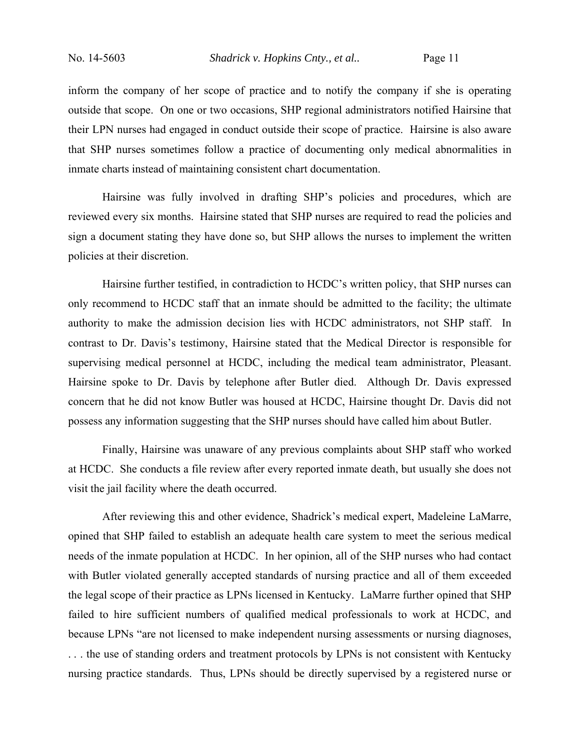inform the company of her scope of practice and to notify the company if she is operating outside that scope. On one or two occasions, SHP regional administrators notified Hairsine that their LPN nurses had engaged in conduct outside their scope of practice. Hairsine is also aware that SHP nurses sometimes follow a practice of documenting only medical abnormalities in inmate charts instead of maintaining consistent chart documentation.

Hairsine was fully involved in drafting SHP's policies and procedures, which are reviewed every six months. Hairsine stated that SHP nurses are required to read the policies and sign a document stating they have done so, but SHP allows the nurses to implement the written policies at their discretion.

Hairsine further testified, in contradiction to HCDC's written policy, that SHP nurses can only recommend to HCDC staff that an inmate should be admitted to the facility; the ultimate authority to make the admission decision lies with HCDC administrators, not SHP staff. In contrast to Dr. Davis's testimony, Hairsine stated that the Medical Director is responsible for supervising medical personnel at HCDC, including the medical team administrator, Pleasant. Hairsine spoke to Dr. Davis by telephone after Butler died. Although Dr. Davis expressed concern that he did not know Butler was housed at HCDC, Hairsine thought Dr. Davis did not possess any information suggesting that the SHP nurses should have called him about Butler.

Finally, Hairsine was unaware of any previous complaints about SHP staff who worked at HCDC. She conducts a file review after every reported inmate death, but usually she does not visit the jail facility where the death occurred.

After reviewing this and other evidence, Shadrick's medical expert, Madeleine LaMarre, opined that SHP failed to establish an adequate health care system to meet the serious medical needs of the inmate population at HCDC. In her opinion, all of the SHP nurses who had contact with Butler violated generally accepted standards of nursing practice and all of them exceeded the legal scope of their practice as LPNs licensed in Kentucky. LaMarre further opined that SHP failed to hire sufficient numbers of qualified medical professionals to work at HCDC, and because LPNs "are not licensed to make independent nursing assessments or nursing diagnoses, . . . the use of standing orders and treatment protocols by LPNs is not consistent with Kentucky nursing practice standards. Thus, LPNs should be directly supervised by a registered nurse or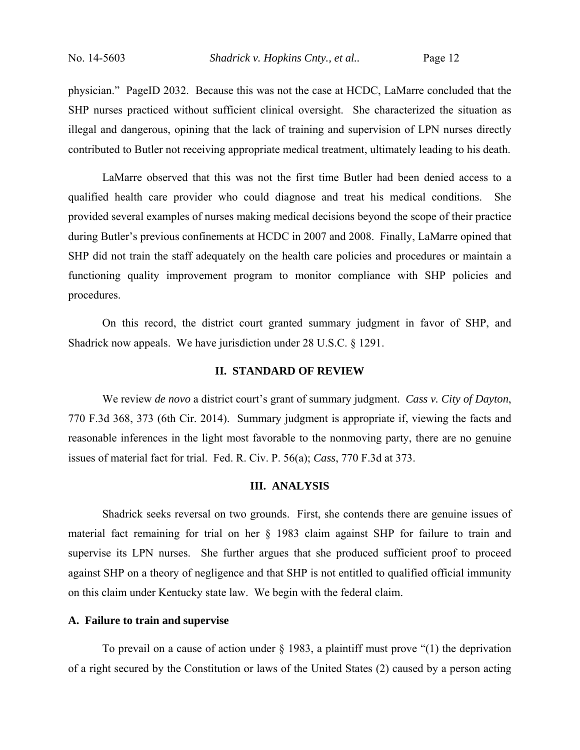physician." PageID 2032. Because this was not the case at HCDC, LaMarre concluded that the SHP nurses practiced without sufficient clinical oversight. She characterized the situation as illegal and dangerous, opining that the lack of training and supervision of LPN nurses directly contributed to Butler not receiving appropriate medical treatment, ultimately leading to his death.

LaMarre observed that this was not the first time Butler had been denied access to a qualified health care provider who could diagnose and treat his medical conditions. She provided several examples of nurses making medical decisions beyond the scope of their practice during Butler's previous confinements at HCDC in 2007 and 2008. Finally, LaMarre opined that SHP did not train the staff adequately on the health care policies and procedures or maintain a functioning quality improvement program to monitor compliance with SHP policies and procedures.

On this record, the district court granted summary judgment in favor of SHP, and Shadrick now appeals. We have jurisdiction under 28 U.S.C. § 1291.

## **II. STANDARD OF REVIEW**

 We review *de novo* a district court's grant of summary judgment. *Cass v. City of Dayton*, 770 F.3d 368, 373 (6th Cir. 2014). Summary judgment is appropriate if, viewing the facts and reasonable inferences in the light most favorable to the nonmoving party, there are no genuine issues of material fact for trial. Fed. R. Civ. P. 56(a); *Cass*, 770 F.3d at 373.

## **III. ANALYSIS**

 Shadrick seeks reversal on two grounds. First, she contends there are genuine issues of material fact remaining for trial on her § 1983 claim against SHP for failure to train and supervise its LPN nurses. She further argues that she produced sufficient proof to proceed against SHP on a theory of negligence and that SHP is not entitled to qualified official immunity on this claim under Kentucky state law. We begin with the federal claim.

## **A. Failure to train and supervise**

 To prevail on a cause of action under § 1983, a plaintiff must prove "(1) the deprivation of a right secured by the Constitution or laws of the United States (2) caused by a person acting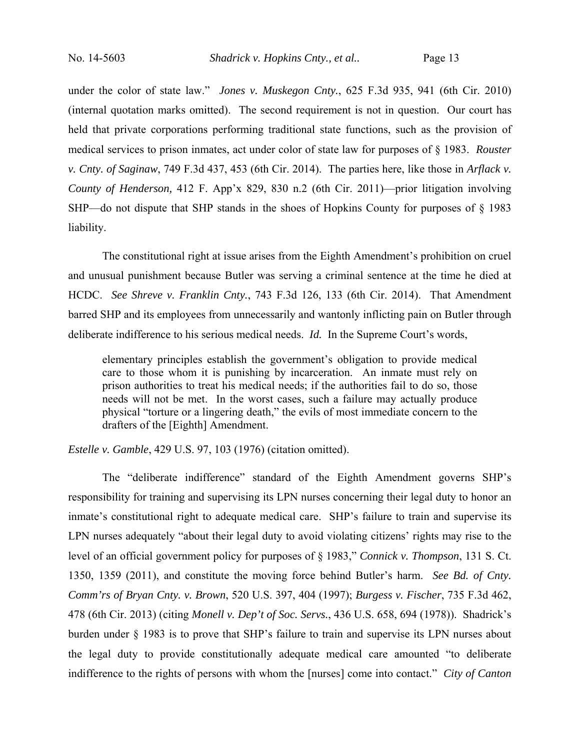under the color of state law." *Jones v. Muskegon Cnty.*, 625 F.3d 935, 941 (6th Cir. 2010) (internal quotation marks omitted). The second requirement is not in question. Our court has held that private corporations performing traditional state functions, such as the provision of medical services to prison inmates, act under color of state law for purposes of § 1983. *Rouster v. Cnty. of Saginaw*, 749 F.3d 437, 453 (6th Cir. 2014). The parties here, like those in *Arflack v. County of Henderson,* 412 F. App'x 829, 830 n.2 (6th Cir. 2011)—prior litigation involving SHP—do not dispute that SHP stands in the shoes of Hopkins County for purposes of § 1983 liability.

The constitutional right at issue arises from the Eighth Amendment's prohibition on cruel and unusual punishment because Butler was serving a criminal sentence at the time he died at HCDC. *See Shreve v. Franklin Cnty.*, 743 F.3d 126, 133 (6th Cir. 2014). That Amendment barred SHP and its employees from unnecessarily and wantonly inflicting pain on Butler through deliberate indifference to his serious medical needs. *Id.* In the Supreme Court's words,

elementary principles establish the government's obligation to provide medical care to those whom it is punishing by incarceration. An inmate must rely on prison authorities to treat his medical needs; if the authorities fail to do so, those needs will not be met. In the worst cases, such a failure may actually produce physical "torture or a lingering death," the evils of most immediate concern to the drafters of the [Eighth] Amendment.

*Estelle v. Gamble*, 429 U.S. 97, 103 (1976) (citation omitted).

The "deliberate indifference" standard of the Eighth Amendment governs SHP's responsibility for training and supervising its LPN nurses concerning their legal duty to honor an inmate's constitutional right to adequate medical care. SHP's failure to train and supervise its LPN nurses adequately "about their legal duty to avoid violating citizens' rights may rise to the level of an official government policy for purposes of § 1983," *Connick v. Thompson*, 131 S. Ct. 1350, 1359 (2011), and constitute the moving force behind Butler's harm. *See Bd. of Cnty. Comm'rs of Bryan Cnty. v. Brown*, 520 U.S. 397, 404 (1997); *Burgess v. Fischer*, 735 F.3d 462, 478 (6th Cir. 2013) (citing *Monell v. Dep't of Soc. Servs.*, 436 U.S. 658, 694 (1978)). Shadrick's burden under § 1983 is to prove that SHP's failure to train and supervise its LPN nurses about the legal duty to provide constitutionally adequate medical care amounted "to deliberate indifference to the rights of persons with whom the [nurses] come into contact." *City of Canton*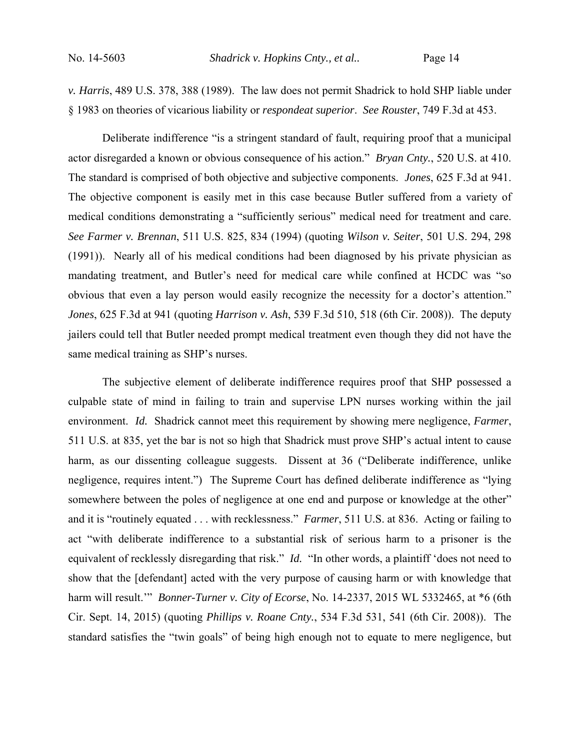*v. Harris*, 489 U.S. 378, 388 (1989). The law does not permit Shadrick to hold SHP liable under § 1983 on theories of vicarious liability or *respondeat superior*. *See Rouster*, 749 F.3d at 453.

Deliberate indifference "is a stringent standard of fault, requiring proof that a municipal actor disregarded a known or obvious consequence of his action." *Bryan Cnty.*, 520 U.S. at 410. The standard is comprised of both objective and subjective components. *Jones*, 625 F.3d at 941. The objective component is easily met in this case because Butler suffered from a variety of medical conditions demonstrating a "sufficiently serious" medical need for treatment and care. *See Farmer v. Brennan*, 511 U.S. 825, 834 (1994) (quoting *Wilson v. Seiter*, 501 U.S. 294, 298 (1991)). Nearly all of his medical conditions had been diagnosed by his private physician as mandating treatment, and Butler's need for medical care while confined at HCDC was "so obvious that even a lay person would easily recognize the necessity for a doctor's attention." *Jones*, 625 F.3d at 941 (quoting *Harrison v. Ash*, 539 F.3d 510, 518 (6th Cir. 2008)). The deputy jailers could tell that Butler needed prompt medical treatment even though they did not have the same medical training as SHP's nurses.

The subjective element of deliberate indifference requires proof that SHP possessed a culpable state of mind in failing to train and supervise LPN nurses working within the jail environment. *Id.* Shadrick cannot meet this requirement by showing mere negligence, *Farmer*, 511 U.S. at 835, yet the bar is not so high that Shadrick must prove SHP's actual intent to cause harm, as our dissenting colleague suggests. Dissent at 36 ("Deliberate indifference, unlike negligence, requires intent.") The Supreme Court has defined deliberate indifference as "lying somewhere between the poles of negligence at one end and purpose or knowledge at the other" and it is "routinely equated . . . with recklessness." *Farmer*, 511 U.S. at 836. Acting or failing to act "with deliberate indifference to a substantial risk of serious harm to a prisoner is the equivalent of recklessly disregarding that risk." *Id.* "In other words, a plaintiff 'does not need to show that the [defendant] acted with the very purpose of causing harm or with knowledge that harm will result.'" *Bonner-Turner v. City of Ecorse*, No. 14-2337, 2015 WL 5332465, at \*6 (6th Cir. Sept. 14, 2015) (quoting *Phillips v. Roane Cnty.*, 534 F.3d 531, 541 (6th Cir. 2008)). The standard satisfies the "twin goals" of being high enough not to equate to mere negligence, but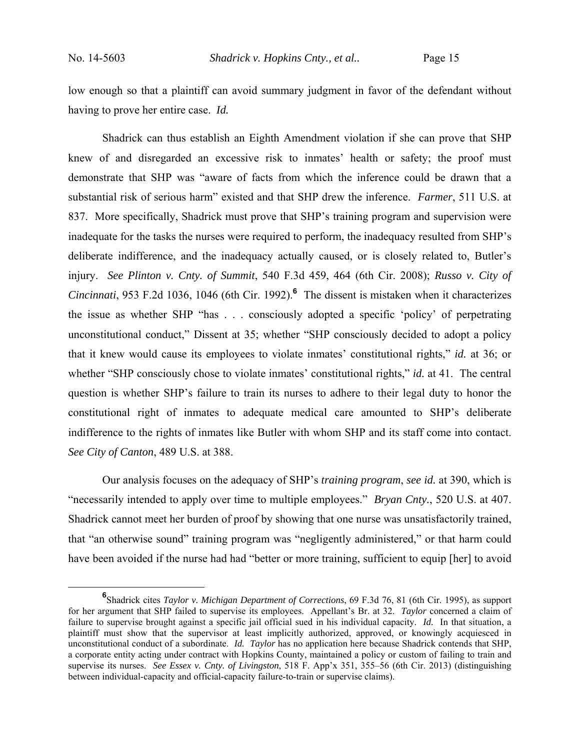low enough so that a plaintiff can avoid summary judgment in favor of the defendant without having to prove her entire case. *Id.* 

Shadrick can thus establish an Eighth Amendment violation if she can prove that SHP knew of and disregarded an excessive risk to inmates' health or safety; the proof must demonstrate that SHP was "aware of facts from which the inference could be drawn that a substantial risk of serious harm" existed and that SHP drew the inference. *Farmer*, 511 U.S. at 837. More specifically, Shadrick must prove that SHP's training program and supervision were inadequate for the tasks the nurses were required to perform, the inadequacy resulted from SHP's deliberate indifference, and the inadequacy actually caused, or is closely related to, Butler's injury. *See Plinton v. Cnty. of Summit*, 540 F.3d 459, 464 (6th Cir. 2008); *Russo v. City of Cincinnati*, 953 F.2d 1036, 1046 (6th Cir. 1992).**<sup>6</sup>** The dissent is mistaken when it characterizes the issue as whether SHP "has . . . consciously adopted a specific 'policy' of perpetrating unconstitutional conduct," Dissent at 35; whether "SHP consciously decided to adopt a policy that it knew would cause its employees to violate inmates' constitutional rights," *id.* at 36; or whether "SHP consciously chose to violate inmates' constitutional rights," *id.* at 41. The central question is whether SHP's failure to train its nurses to adhere to their legal duty to honor the constitutional right of inmates to adequate medical care amounted to SHP's deliberate indifference to the rights of inmates like Butler with whom SHP and its staff come into contact. *See City of Canton*, 489 U.S. at 388.

Our analysis focuses on the adequacy of SHP's *training program*, *see id.* at 390, which is "necessarily intended to apply over time to multiple employees." *Bryan Cnty.*, 520 U.S. at 407. Shadrick cannot meet her burden of proof by showing that one nurse was unsatisfactorily trained, that "an otherwise sound" training program was "negligently administered," or that harm could have been avoided if the nurse had had "better or more training, sufficient to equip [her] to avoid

**<sup>6</sup>** Shadrick cites *Taylor v. Michigan Department of Corrections*, 69 F.3d 76, 81 (6th Cir. 1995), as support for her argument that SHP failed to supervise its employees. Appellant's Br. at 32. *Taylor* concerned a claim of failure to supervise brought against a specific jail official sued in his individual capacity. *Id.* In that situation, a plaintiff must show that the supervisor at least implicitly authorized, approved, or knowingly acquiesced in unconstitutional conduct of a subordinate. *Id. Taylor* has no application here because Shadrick contends that SHP, a corporate entity acting under contract with Hopkins County, maintained a policy or custom of failing to train and supervise its nurses. *See Essex v. Cnty. of Livingston*, 518 F. App'x 351, 355–56 (6th Cir. 2013) (distinguishing between individual-capacity and official-capacity failure-to-train or supervise claims).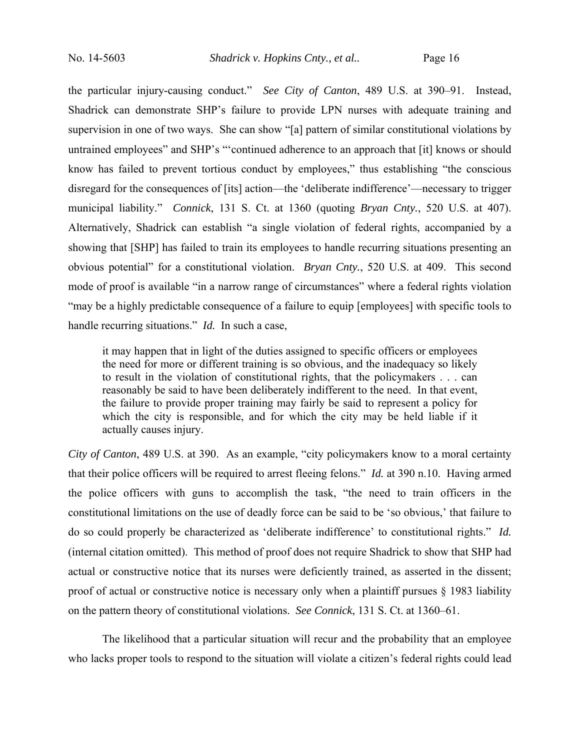the particular injury-causing conduct." *See City of Canton*, 489 U.S. at 390–91. Instead, Shadrick can demonstrate SHP's failure to provide LPN nurses with adequate training and supervision in one of two ways. She can show "[a] pattern of similar constitutional violations by untrained employees" and SHP's "'continued adherence to an approach that [it] knows or should know has failed to prevent tortious conduct by employees," thus establishing "the conscious disregard for the consequences of [its] action—the 'deliberate indifference'—necessary to trigger municipal liability." *Connick*, 131 S. Ct. at 1360 (quoting *Bryan Cnty.*, 520 U.S. at 407). Alternatively, Shadrick can establish "a single violation of federal rights, accompanied by a showing that [SHP] has failed to train its employees to handle recurring situations presenting an obvious potential" for a constitutional violation. *Bryan Cnty.*, 520 U.S. at 409. This second mode of proof is available "in a narrow range of circumstances" where a federal rights violation "may be a highly predictable consequence of a failure to equip [employees] with specific tools to handle recurring situations." *Id.* In such a case,

it may happen that in light of the duties assigned to specific officers or employees the need for more or different training is so obvious, and the inadequacy so likely to result in the violation of constitutional rights, that the policymakers . . . can reasonably be said to have been deliberately indifferent to the need. In that event, the failure to provide proper training may fairly be said to represent a policy for which the city is responsible, and for which the city may be held liable if it actually causes injury.

*City of Canton*, 489 U.S. at 390. As an example, "city policymakers know to a moral certainty that their police officers will be required to arrest fleeing felons." *Id.* at 390 n.10. Having armed the police officers with guns to accomplish the task, "the need to train officers in the constitutional limitations on the use of deadly force can be said to be 'so obvious,' that failure to do so could properly be characterized as 'deliberate indifference' to constitutional rights." *Id.* (internal citation omitted). This method of proof does not require Shadrick to show that SHP had actual or constructive notice that its nurses were deficiently trained, as asserted in the dissent; proof of actual or constructive notice is necessary only when a plaintiff pursues § 1983 liability on the pattern theory of constitutional violations. *See Connick*, 131 S. Ct. at 1360–61.

The likelihood that a particular situation will recur and the probability that an employee who lacks proper tools to respond to the situation will violate a citizen's federal rights could lead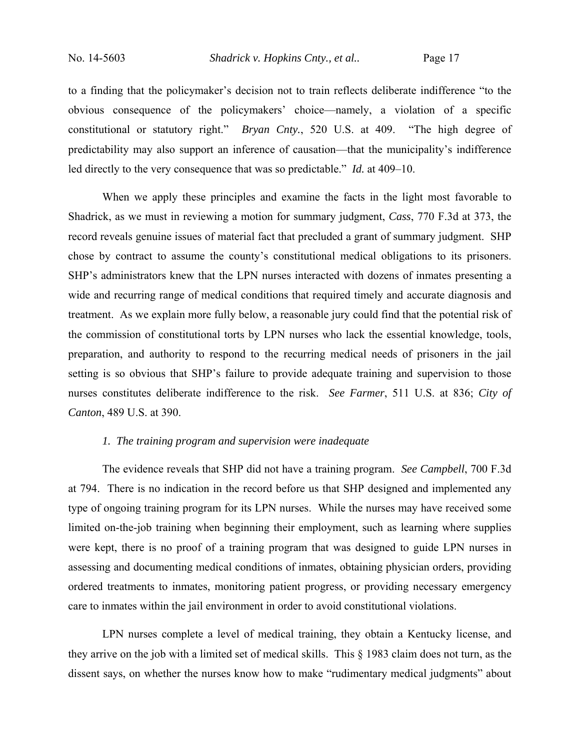to a finding that the policymaker's decision not to train reflects deliberate indifference "to the obvious consequence of the policymakers' choice—namely, a violation of a specific constitutional or statutory right." *Bryan Cnty.*, 520 U.S. at 409. "The high degree of predictability may also support an inference of causation—that the municipality's indifference led directly to the very consequence that was so predictable." *Id.* at 409–10.

 When we apply these principles and examine the facts in the light most favorable to Shadrick, as we must in reviewing a motion for summary judgment, *Cass*, 770 F.3d at 373, the record reveals genuine issues of material fact that precluded a grant of summary judgment. SHP chose by contract to assume the county's constitutional medical obligations to its prisoners. SHP's administrators knew that the LPN nurses interacted with dozens of inmates presenting a wide and recurring range of medical conditions that required timely and accurate diagnosis and treatment. As we explain more fully below, a reasonable jury could find that the potential risk of the commission of constitutional torts by LPN nurses who lack the essential knowledge, tools, preparation, and authority to respond to the recurring medical needs of prisoners in the jail setting is so obvious that SHP's failure to provide adequate training and supervision to those nurses constitutes deliberate indifference to the risk. *See Farmer*, 511 U.S. at 836; *City of Canton*, 489 U.S. at 390.

## *1. The training program and supervision were inadequate*

The evidence reveals that SHP did not have a training program. *See Campbell*, 700 F.3d at 794. There is no indication in the record before us that SHP designed and implemented any type of ongoing training program for its LPN nurses. While the nurses may have received some limited on-the-job training when beginning their employment, such as learning where supplies were kept, there is no proof of a training program that was designed to guide LPN nurses in assessing and documenting medical conditions of inmates, obtaining physician orders, providing ordered treatments to inmates, monitoring patient progress, or providing necessary emergency care to inmates within the jail environment in order to avoid constitutional violations.

LPN nurses complete a level of medical training, they obtain a Kentucky license, and they arrive on the job with a limited set of medical skills. This § 1983 claim does not turn, as the dissent says, on whether the nurses know how to make "rudimentary medical judgments" about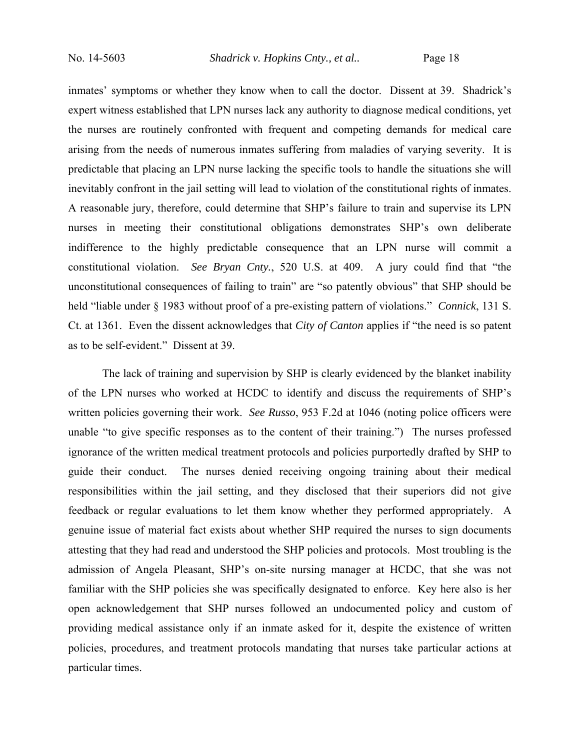inmates' symptoms or whether they know when to call the doctor. Dissent at 39. Shadrick's expert witness established that LPN nurses lack any authority to diagnose medical conditions, yet the nurses are routinely confronted with frequent and competing demands for medical care arising from the needs of numerous inmates suffering from maladies of varying severity. It is predictable that placing an LPN nurse lacking the specific tools to handle the situations she will inevitably confront in the jail setting will lead to violation of the constitutional rights of inmates. A reasonable jury, therefore, could determine that SHP's failure to train and supervise its LPN nurses in meeting their constitutional obligations demonstrates SHP's own deliberate indifference to the highly predictable consequence that an LPN nurse will commit a constitutional violation. *See Bryan Cnty.*, 520 U.S. at 409. A jury could find that "the unconstitutional consequences of failing to train" are "so patently obvious" that SHP should be held "liable under § 1983 without proof of a pre-existing pattern of violations." *Connick*, 131 S. Ct. at 1361. Even the dissent acknowledges that *City of Canton* applies if "the need is so patent as to be self-evident." Dissent at 39.

The lack of training and supervision by SHP is clearly evidenced by the blanket inability of the LPN nurses who worked at HCDC to identify and discuss the requirements of SHP's written policies governing their work. *See Russo*, 953 F.2d at 1046 (noting police officers were unable "to give specific responses as to the content of their training.") The nurses professed ignorance of the written medical treatment protocols and policies purportedly drafted by SHP to guide their conduct. The nurses denied receiving ongoing training about their medical responsibilities within the jail setting, and they disclosed that their superiors did not give feedback or regular evaluations to let them know whether they performed appropriately. A genuine issue of material fact exists about whether SHP required the nurses to sign documents attesting that they had read and understood the SHP policies and protocols. Most troubling is the admission of Angela Pleasant, SHP's on-site nursing manager at HCDC, that she was not familiar with the SHP policies she was specifically designated to enforce. Key here also is her open acknowledgement that SHP nurses followed an undocumented policy and custom of providing medical assistance only if an inmate asked for it, despite the existence of written policies, procedures, and treatment protocols mandating that nurses take particular actions at particular times.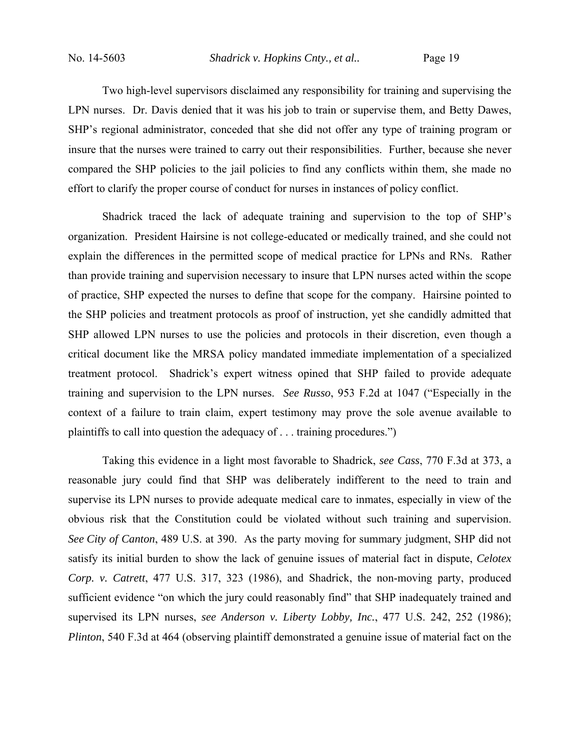No. 14-5603 *Shadrick v. Hopkins Cnty., et al..* Page 19

Two high-level supervisors disclaimed any responsibility for training and supervising the LPN nurses. Dr. Davis denied that it was his job to train or supervise them, and Betty Dawes, SHP's regional administrator, conceded that she did not offer any type of training program or insure that the nurses were trained to carry out their responsibilities. Further, because she never compared the SHP policies to the jail policies to find any conflicts within them, she made no effort to clarify the proper course of conduct for nurses in instances of policy conflict.

Shadrick traced the lack of adequate training and supervision to the top of SHP's organization. President Hairsine is not college-educated or medically trained, and she could not explain the differences in the permitted scope of medical practice for LPNs and RNs. Rather than provide training and supervision necessary to insure that LPN nurses acted within the scope of practice, SHP expected the nurses to define that scope for the company. Hairsine pointed to the SHP policies and treatment protocols as proof of instruction, yet she candidly admitted that SHP allowed LPN nurses to use the policies and protocols in their discretion, even though a critical document like the MRSA policy mandated immediate implementation of a specialized treatment protocol. Shadrick's expert witness opined that SHP failed to provide adequate training and supervision to the LPN nurses. *See Russo*, 953 F.2d at 1047 ("Especially in the context of a failure to train claim, expert testimony may prove the sole avenue available to plaintiffs to call into question the adequacy of . . . training procedures.")

Taking this evidence in a light most favorable to Shadrick, *see Cass*, 770 F.3d at 373, a reasonable jury could find that SHP was deliberately indifferent to the need to train and supervise its LPN nurses to provide adequate medical care to inmates, especially in view of the obvious risk that the Constitution could be violated without such training and supervision. *See City of Canton*, 489 U.S. at 390. As the party moving for summary judgment, SHP did not satisfy its initial burden to show the lack of genuine issues of material fact in dispute, *Celotex Corp. v. Catrett*, 477 U.S. 317, 323 (1986), and Shadrick, the non-moving party, produced sufficient evidence "on which the jury could reasonably find" that SHP inadequately trained and supervised its LPN nurses, *see Anderson v. Liberty Lobby, Inc.*, 477 U.S. 242, 252 (1986); *Plinton*, 540 F.3d at 464 (observing plaintiff demonstrated a genuine issue of material fact on the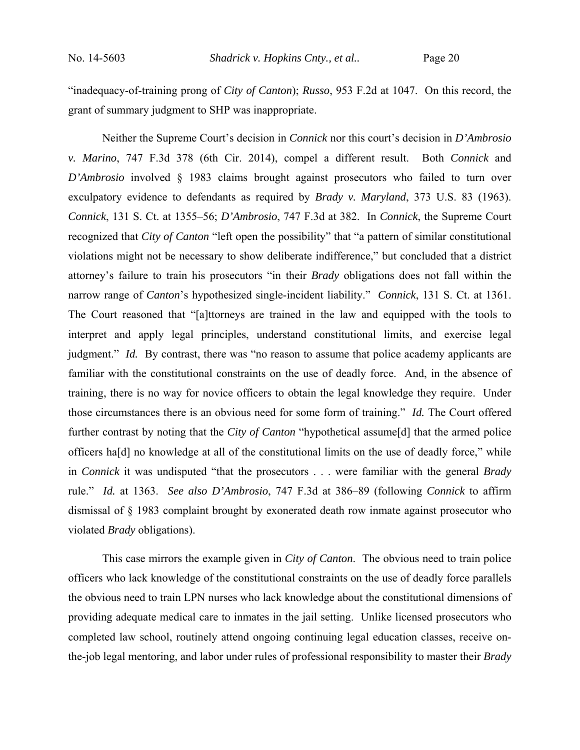"inadequacy-of-training prong of *City of Canton*); *Russo*, 953 F.2d at 1047. On this record, the grant of summary judgment to SHP was inappropriate.

Neither the Supreme Court's decision in *Connick* nor this court's decision in *D'Ambrosio v. Marino*, 747 F.3d 378 (6th Cir. 2014), compel a different result. Both *Connick* and *D'Ambrosio* involved § 1983 claims brought against prosecutors who failed to turn over exculpatory evidence to defendants as required by *Brady v. Maryland*, 373 U.S. 83 (1963). *Connick*, 131 S. Ct. at 1355–56; *D'Ambrosio*, 747 F.3d at 382. In *Connick*, the Supreme Court recognized that *City of Canton* "left open the possibility" that "a pattern of similar constitutional violations might not be necessary to show deliberate indifference," but concluded that a district attorney's failure to train his prosecutors "in their *Brady* obligations does not fall within the narrow range of *Canton*'s hypothesized single-incident liability." *Connick*, 131 S. Ct. at 1361. The Court reasoned that "[a]ttorneys are trained in the law and equipped with the tools to interpret and apply legal principles, understand constitutional limits, and exercise legal judgment." *Id.* By contrast, there was "no reason to assume that police academy applicants are familiar with the constitutional constraints on the use of deadly force. And, in the absence of training, there is no way for novice officers to obtain the legal knowledge they require. Under those circumstances there is an obvious need for some form of training." *Id.* The Court offered further contrast by noting that the *City of Canton* "hypothetical assume[d] that the armed police officers ha[d] no knowledge at all of the constitutional limits on the use of deadly force," while in *Connick* it was undisputed "that the prosecutors . . . were familiar with the general *Brady* rule." *Id.* at 1363. *See also D'Ambrosio*, 747 F.3d at 386–89 (following *Connick* to affirm dismissal of § 1983 complaint brought by exonerated death row inmate against prosecutor who violated *Brady* obligations).

This case mirrors the example given in *City of Canton*. The obvious need to train police officers who lack knowledge of the constitutional constraints on the use of deadly force parallels the obvious need to train LPN nurses who lack knowledge about the constitutional dimensions of providing adequate medical care to inmates in the jail setting. Unlike licensed prosecutors who completed law school, routinely attend ongoing continuing legal education classes, receive onthe-job legal mentoring, and labor under rules of professional responsibility to master their *Brady*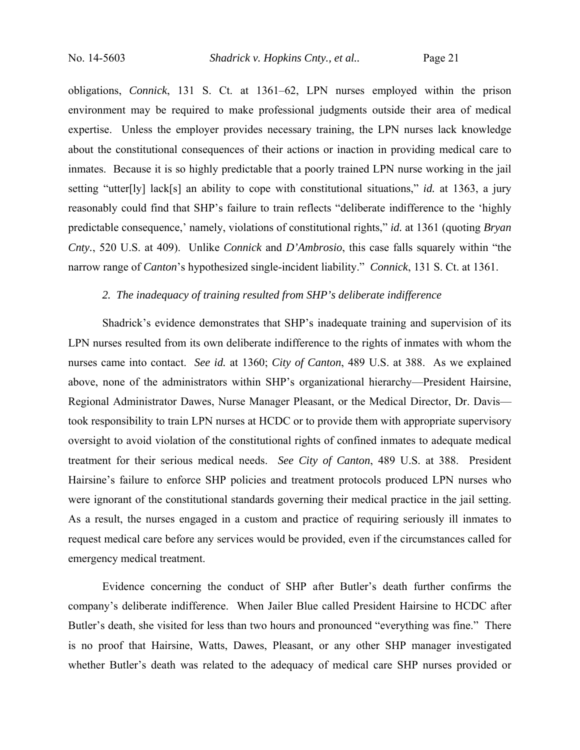obligations, *Connick*, 131 S. Ct. at 1361–62, LPN nurses employed within the prison environment may be required to make professional judgments outside their area of medical expertise. Unless the employer provides necessary training, the LPN nurses lack knowledge about the constitutional consequences of their actions or inaction in providing medical care to inmates. Because it is so highly predictable that a poorly trained LPN nurse working in the jail setting "utter[ly] lack[s] an ability to cope with constitutional situations," *id.* at 1363, a jury reasonably could find that SHP's failure to train reflects "deliberate indifference to the 'highly predictable consequence,' namely, violations of constitutional rights," *id.* at 1361 (quoting *Bryan Cnty.*, 520 U.S. at 409). Unlike *Connick* and *D'Ambrosio*, this case falls squarely within "the narrow range of *Canton*'s hypothesized single-incident liability." *Connick*, 131 S. Ct. at 1361.

## *2. The inadequacy of training resulted from SHP's deliberate indifference*

Shadrick's evidence demonstrates that SHP's inadequate training and supervision of its LPN nurses resulted from its own deliberate indifference to the rights of inmates with whom the nurses came into contact. *See id.* at 1360; *City of Canton*, 489 U.S. at 388. As we explained above, none of the administrators within SHP's organizational hierarchy—President Hairsine, Regional Administrator Dawes, Nurse Manager Pleasant, or the Medical Director, Dr. Davis took responsibility to train LPN nurses at HCDC or to provide them with appropriate supervisory oversight to avoid violation of the constitutional rights of confined inmates to adequate medical treatment for their serious medical needs. *See City of Canton*, 489 U.S. at 388. President Hairsine's failure to enforce SHP policies and treatment protocols produced LPN nurses who were ignorant of the constitutional standards governing their medical practice in the jail setting. As a result, the nurses engaged in a custom and practice of requiring seriously ill inmates to request medical care before any services would be provided, even if the circumstances called for emergency medical treatment.

Evidence concerning the conduct of SHP after Butler's death further confirms the company's deliberate indifference. When Jailer Blue called President Hairsine to HCDC after Butler's death, she visited for less than two hours and pronounced "everything was fine." There is no proof that Hairsine, Watts, Dawes, Pleasant, or any other SHP manager investigated whether Butler's death was related to the adequacy of medical care SHP nurses provided or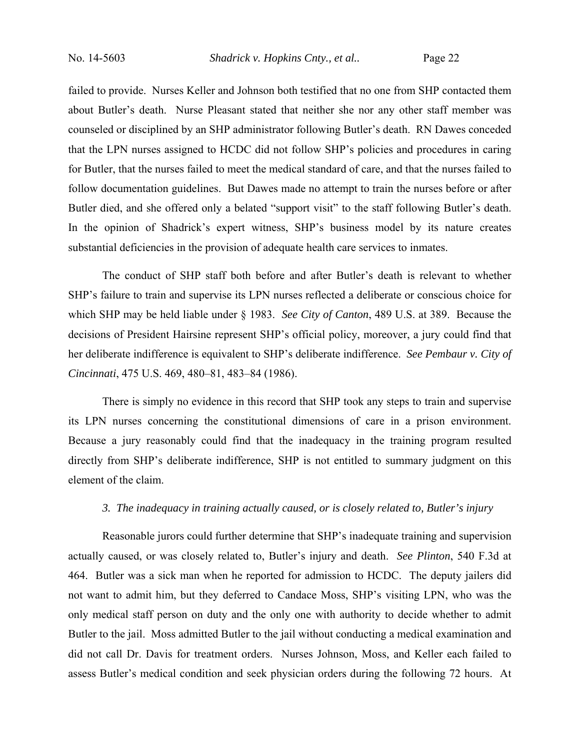No. 14-5603 *Shadrick v. Hopkins Cnty., et al..* Page 22

failed to provide. Nurses Keller and Johnson both testified that no one from SHP contacted them about Butler's death. Nurse Pleasant stated that neither she nor any other staff member was counseled or disciplined by an SHP administrator following Butler's death. RN Dawes conceded that the LPN nurses assigned to HCDC did not follow SHP's policies and procedures in caring for Butler, that the nurses failed to meet the medical standard of care, and that the nurses failed to follow documentation guidelines. But Dawes made no attempt to train the nurses before or after Butler died, and she offered only a belated "support visit" to the staff following Butler's death. In the opinion of Shadrick's expert witness, SHP's business model by its nature creates substantial deficiencies in the provision of adequate health care services to inmates.

The conduct of SHP staff both before and after Butler's death is relevant to whether SHP's failure to train and supervise its LPN nurses reflected a deliberate or conscious choice for which SHP may be held liable under § 1983. *See City of Canton*, 489 U.S. at 389. Because the decisions of President Hairsine represent SHP's official policy, moreover, a jury could find that her deliberate indifference is equivalent to SHP's deliberate indifference. *See Pembaur v. City of Cincinnati*, 475 U.S. 469, 480–81, 483–84 (1986).

There is simply no evidence in this record that SHP took any steps to train and supervise its LPN nurses concerning the constitutional dimensions of care in a prison environment. Because a jury reasonably could find that the inadequacy in the training program resulted directly from SHP's deliberate indifference, SHP is not entitled to summary judgment on this element of the claim.

## *3. The inadequacy in training actually caused, or is closely related to, Butler's injury*

Reasonable jurors could further determine that SHP's inadequate training and supervision actually caused, or was closely related to, Butler's injury and death. *See Plinton*, 540 F.3d at 464. Butler was a sick man when he reported for admission to HCDC. The deputy jailers did not want to admit him, but they deferred to Candace Moss, SHP's visiting LPN, who was the only medical staff person on duty and the only one with authority to decide whether to admit Butler to the jail. Moss admitted Butler to the jail without conducting a medical examination and did not call Dr. Davis for treatment orders. Nurses Johnson, Moss, and Keller each failed to assess Butler's medical condition and seek physician orders during the following 72 hours. At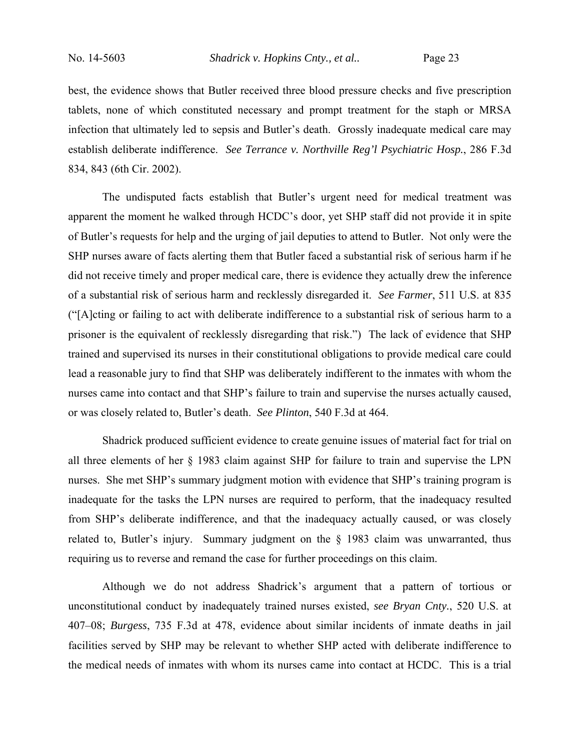best, the evidence shows that Butler received three blood pressure checks and five prescription tablets, none of which constituted necessary and prompt treatment for the staph or MRSA infection that ultimately led to sepsis and Butler's death. Grossly inadequate medical care may establish deliberate indifference. *See Terrance v. Northville Reg'l Psychiatric Hosp.*, 286 F.3d 834, 843 (6th Cir. 2002).

The undisputed facts establish that Butler's urgent need for medical treatment was apparent the moment he walked through HCDC's door, yet SHP staff did not provide it in spite of Butler's requests for help and the urging of jail deputies to attend to Butler. Not only were the SHP nurses aware of facts alerting them that Butler faced a substantial risk of serious harm if he did not receive timely and proper medical care, there is evidence they actually drew the inference of a substantial risk of serious harm and recklessly disregarded it. *See Farmer*, 511 U.S. at 835 ("[A]cting or failing to act with deliberate indifference to a substantial risk of serious harm to a prisoner is the equivalent of recklessly disregarding that risk.") The lack of evidence that SHP trained and supervised its nurses in their constitutional obligations to provide medical care could lead a reasonable jury to find that SHP was deliberately indifferent to the inmates with whom the nurses came into contact and that SHP's failure to train and supervise the nurses actually caused, or was closely related to, Butler's death. *See Plinton*, 540 F.3d at 464.

Shadrick produced sufficient evidence to create genuine issues of material fact for trial on all three elements of her § 1983 claim against SHP for failure to train and supervise the LPN nurses. She met SHP's summary judgment motion with evidence that SHP's training program is inadequate for the tasks the LPN nurses are required to perform, that the inadequacy resulted from SHP's deliberate indifference, and that the inadequacy actually caused, or was closely related to, Butler's injury. Summary judgment on the § 1983 claim was unwarranted, thus requiring us to reverse and remand the case for further proceedings on this claim.

Although we do not address Shadrick's argument that a pattern of tortious or unconstitutional conduct by inadequately trained nurses existed, *see Bryan Cnty.*, 520 U.S. at 407–08; *Burgess*, 735 F.3d at 478, evidence about similar incidents of inmate deaths in jail facilities served by SHP may be relevant to whether SHP acted with deliberate indifference to the medical needs of inmates with whom its nurses came into contact at HCDC. This is a trial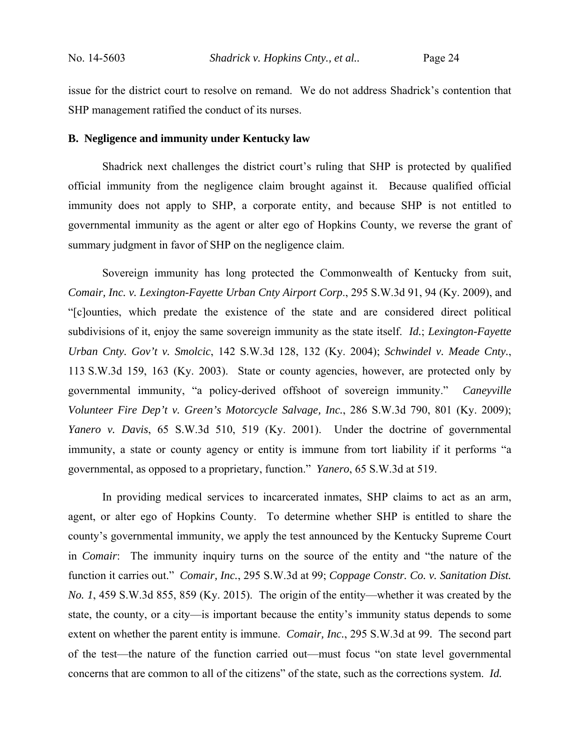issue for the district court to resolve on remand. We do not address Shadrick's contention that SHP management ratified the conduct of its nurses.

#### **B. Negligence and immunity under Kentucky law**

Shadrick next challenges the district court's ruling that SHP is protected by qualified official immunity from the negligence claim brought against it. Because qualified official immunity does not apply to SHP, a corporate entity, and because SHP is not entitled to governmental immunity as the agent or alter ego of Hopkins County, we reverse the grant of summary judgment in favor of SHP on the negligence claim.

Sovereign immunity has long protected the Commonwealth of Kentucky from suit, *Comair, Inc. v. Lexington-Fayette Urban Cnty Airport Corp*., 295 S.W.3d 91, 94 (Ky. 2009), and "[c]ounties, which predate the existence of the state and are considered direct political subdivisions of it, enjoy the same sovereign immunity as the state itself. *Id.*; *Lexington-Fayette Urban Cnty. Gov't v. Smolcic*, 142 S.W.3d 128, 132 (Ky. 2004); *Schwindel v. Meade Cnty.*, 113 S.W.3d 159, 163 (Ky. 2003). State or county agencies, however, are protected only by governmental immunity, "a policy-derived offshoot of sovereign immunity." *Caneyville Volunteer Fire Dep't v. Green's Motorcycle Salvage, Inc.*, 286 S.W.3d 790, 801 (Ky. 2009); *Yanero v. Davis*, 65 S.W.3d 510, 519 (Ky. 2001). Under the doctrine of governmental immunity, a state or county agency or entity is immune from tort liability if it performs "a governmental, as opposed to a proprietary, function." *Yanero*, 65 S.W.3d at 519.

In providing medical services to incarcerated inmates, SHP claims to act as an arm, agent, or alter ego of Hopkins County. To determine whether SHP is entitled to share the county's governmental immunity, we apply the test announced by the Kentucky Supreme Court in *Comair*: The immunity inquiry turns on the source of the entity and "the nature of the function it carries out." *Comair, Inc.*, 295 S.W.3d at 99; *Coppage Constr. Co. v. Sanitation Dist. No. 1*, 459 S.W.3d 855, 859 (Ky. 2015). The origin of the entity—whether it was created by the state, the county, or a city—is important because the entity's immunity status depends to some extent on whether the parent entity is immune. *Comair, Inc.*, 295 S.W.3d at 99*.* The second part of the test—the nature of the function carried out—must focus "on state level governmental concerns that are common to all of the citizens" of the state, such as the corrections system. *Id.*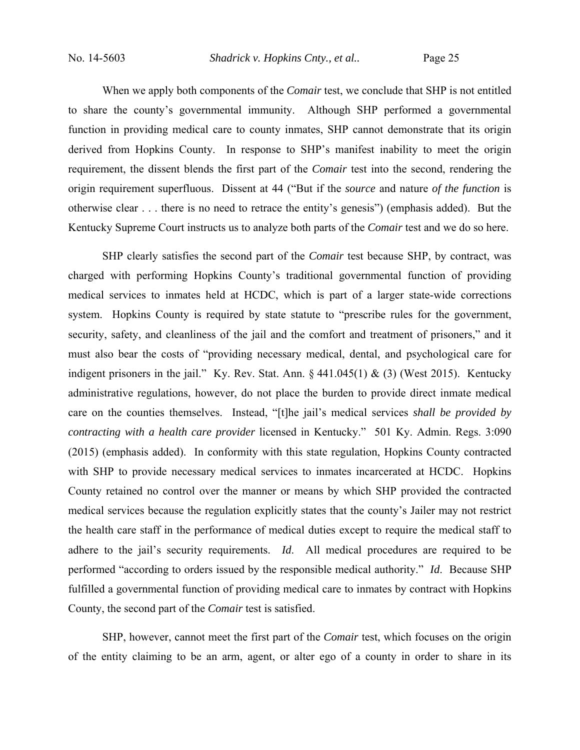When we apply both components of the *Comair* test, we conclude that SHP is not entitled to share the county's governmental immunity. Although SHP performed a governmental function in providing medical care to county inmates, SHP cannot demonstrate that its origin derived from Hopkins County. In response to SHP's manifest inability to meet the origin requirement, the dissent blends the first part of the *Comair* test into the second, rendering the origin requirement superfluous. Dissent at 44 ("But if the *source* and nature *of the function* is otherwise clear . . . there is no need to retrace the entity's genesis") (emphasis added). But the Kentucky Supreme Court instructs us to analyze both parts of the *Comair* test and we do so here.

SHP clearly satisfies the second part of the *Comair* test because SHP, by contract, was charged with performing Hopkins County's traditional governmental function of providing medical services to inmates held at HCDC, which is part of a larger state-wide corrections system. Hopkins County is required by state statute to "prescribe rules for the government, security, safety, and cleanliness of the jail and the comfort and treatment of prisoners," and it must also bear the costs of "providing necessary medical, dental, and psychological care for indigent prisoners in the jail." Ky. Rev. Stat. Ann.  $\S$  441.045(1) & (3) (West 2015). Kentucky administrative regulations, however, do not place the burden to provide direct inmate medical care on the counties themselves. Instead, "[t]he jail's medical services *shall be provided by contracting with a health care provider* licensed in Kentucky." 501 Ky. Admin. Regs. 3:090 (2015) (emphasis added). In conformity with this state regulation, Hopkins County contracted with SHP to provide necessary medical services to inmates incarcerated at HCDC. Hopkins County retained no control over the manner or means by which SHP provided the contracted medical services because the regulation explicitly states that the county's Jailer may not restrict the health care staff in the performance of medical duties except to require the medical staff to adhere to the jail's security requirements. *Id*. All medical procedures are required to be performed "according to orders issued by the responsible medical authority." *Id*. Because SHP fulfilled a governmental function of providing medical care to inmates by contract with Hopkins County, the second part of the *Comair* test is satisfied.

SHP, however, cannot meet the first part of the *Comair* test, which focuses on the origin of the entity claiming to be an arm, agent, or alter ego of a county in order to share in its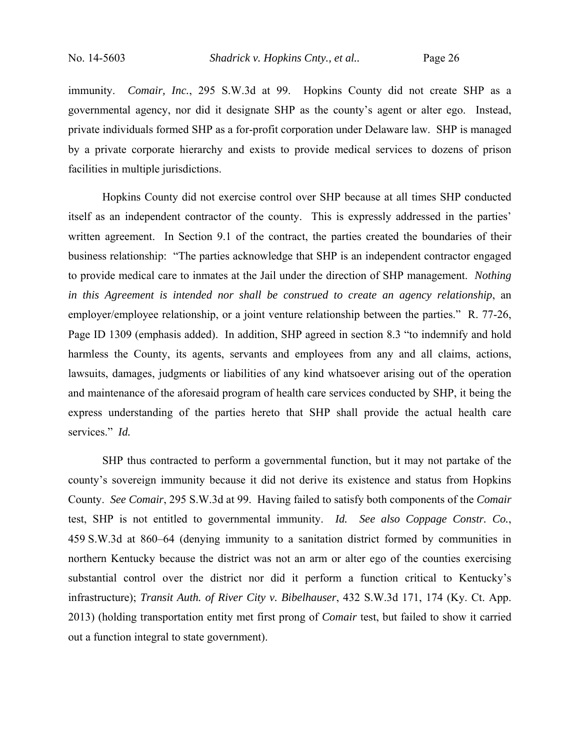immunity. *Comair, Inc.*, 295 S.W.3d at 99. Hopkins County did not create SHP as a governmental agency, nor did it designate SHP as the county's agent or alter ego. Instead, private individuals formed SHP as a for-profit corporation under Delaware law. SHP is managed by a private corporate hierarchy and exists to provide medical services to dozens of prison facilities in multiple jurisdictions.

Hopkins County did not exercise control over SHP because at all times SHP conducted itself as an independent contractor of the county. This is expressly addressed in the parties' written agreement. In Section 9.1 of the contract, the parties created the boundaries of their business relationship: "The parties acknowledge that SHP is an independent contractor engaged to provide medical care to inmates at the Jail under the direction of SHP management. *Nothing in this Agreement is intended nor shall be construed to create an agency relationship*, an employer/employee relationship, or a joint venture relationship between the parties." R. 77-26, Page ID 1309 (emphasis added). In addition, SHP agreed in section 8.3 "to indemnify and hold harmless the County, its agents, servants and employees from any and all claims, actions, lawsuits, damages, judgments or liabilities of any kind whatsoever arising out of the operation and maintenance of the aforesaid program of health care services conducted by SHP, it being the express understanding of the parties hereto that SHP shall provide the actual health care services." *Id.* 

SHP thus contracted to perform a governmental function, but it may not partake of the county's sovereign immunity because it did not derive its existence and status from Hopkins County. *See Comair*, 295 S.W.3d at 99. Having failed to satisfy both components of the *Comair* test, SHP is not entitled to governmental immunity. *Id. See also Coppage Constr. Co.*, 459 S.W.3d at 860–64 (denying immunity to a sanitation district formed by communities in northern Kentucky because the district was not an arm or alter ego of the counties exercising substantial control over the district nor did it perform a function critical to Kentucky's infrastructure); *Transit Auth. of River City v. Bibelhauser*, 432 S.W.3d 171, 174 (Ky. Ct. App. 2013) (holding transportation entity met first prong of *Comair* test, but failed to show it carried out a function integral to state government).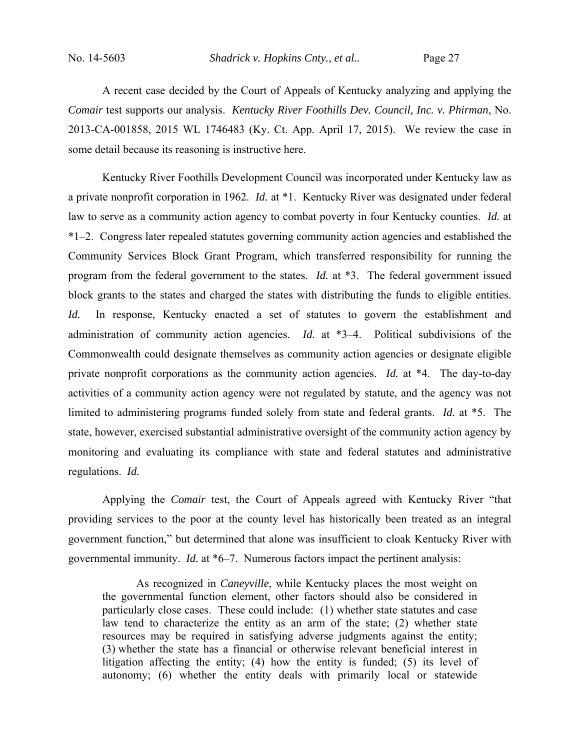A recent case decided by the Court of Appeals of Kentucky analyzing and applying the *Comair* test supports our analysis. *Kentucky River Foothills Dev. Council, Inc. v. Phirman*, No. 2013-CA-001858, 2015 WL 1746483 (Ky. Ct. App. April 17, 2015). We review the case in some detail because its reasoning is instructive here.

Kentucky River Foothills Development Council was incorporated under Kentucky law as a private nonprofit corporation in 1962. *Id.* at \*1. Kentucky River was designated under federal law to serve as a community action agency to combat poverty in four Kentucky counties. *Id.* at \*1–2. Congress later repealed statutes governing community action agencies and established the Community Services Block Grant Program, which transferred responsibility for running the program from the federal government to the states. *Id.* at \*3. The federal government issued block grants to the states and charged the states with distributing the funds to eligible entities. *Id.* In response, Kentucky enacted a set of statutes to govern the establishment and administration of community action agencies. *Id.* at \*3–4. Political subdivisions of the Commonwealth could designate themselves as community action agencies or designate eligible private nonprofit corporations as the community action agencies. *Id.* at \*4. The day-to-day activities of a community action agency were not regulated by statute, and the agency was not limited to administering programs funded solely from state and federal grants. *Id.* at \*5. The state, however, exercised substantial administrative oversight of the community action agency by monitoring and evaluating its compliance with state and federal statutes and administrative regulations. *Id.*

Applying the *Comair* test, the Court of Appeals agreed with Kentucky River "that providing services to the poor at the county level has historically been treated as an integral government function," but determined that alone was insufficient to cloak Kentucky River with governmental immunity. *Id.* at \*6–7. Numerous factors impact the pertinent analysis:

As recognized in *Caneyville*, while Kentucky places the most weight on the governmental function element, other factors should also be considered in particularly close cases. These could include: (1) whether state statutes and case law tend to characterize the entity as an arm of the state; (2) whether state resources may be required in satisfying adverse judgments against the entity; (3) whether the state has a financial or otherwise relevant beneficial interest in litigation affecting the entity; (4) how the entity is funded; (5) its level of autonomy; (6) whether the entity deals with primarily local or statewide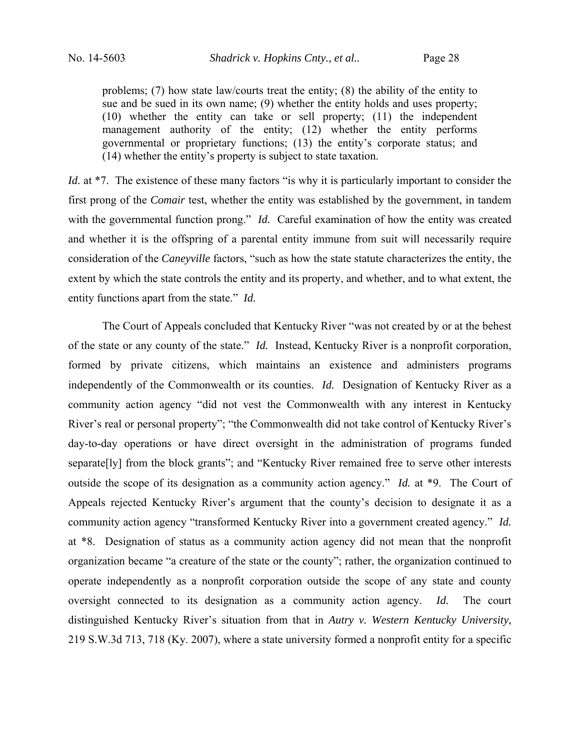problems; (7) how state law/courts treat the entity; (8) the ability of the entity to sue and be sued in its own name; (9) whether the entity holds and uses property; (10) whether the entity can take or sell property; (11) the independent management authority of the entity; (12) whether the entity performs governmental or proprietary functions; (13) the entity's corporate status; and (14) whether the entity's property is subject to state taxation.

*Id.* at \*7. The existence of these many factors "is why it is particularly important to consider the first prong of the *Comair* test, whether the entity was established by the government, in tandem with the governmental function prong." *Id.* Careful examination of how the entity was created and whether it is the offspring of a parental entity immune from suit will necessarily require consideration of the *Caneyville* factors, "such as how the state statute characterizes the entity, the extent by which the state controls the entity and its property, and whether, and to what extent, the entity functions apart from the state." *Id.*

 The Court of Appeals concluded that Kentucky River "was not created by or at the behest of the state or any county of the state." *Id.* Instead, Kentucky River is a nonprofit corporation, formed by private citizens, which maintains an existence and administers programs independently of the Commonwealth or its counties. *Id.* Designation of Kentucky River as a community action agency "did not vest the Commonwealth with any interest in Kentucky River's real or personal property"; "the Commonwealth did not take control of Kentucky River's day-to-day operations or have direct oversight in the administration of programs funded separate[ly] from the block grants"; and "Kentucky River remained free to serve other interests outside the scope of its designation as a community action agency." *Id.* at \*9. The Court of Appeals rejected Kentucky River's argument that the county's decision to designate it as a community action agency "transformed Kentucky River into a government created agency." *Id.* at \*8. Designation of status as a community action agency did not mean that the nonprofit organization became "a creature of the state or the county"; rather, the organization continued to operate independently as a nonprofit corporation outside the scope of any state and county oversight connected to its designation as a community action agency. *Id.* The court distinguished Kentucky River's situation from that in *Autry v. Western Kentucky University*, 219 S.W.3d 713, 718 (Ky. 2007), where a state university formed a nonprofit entity for a specific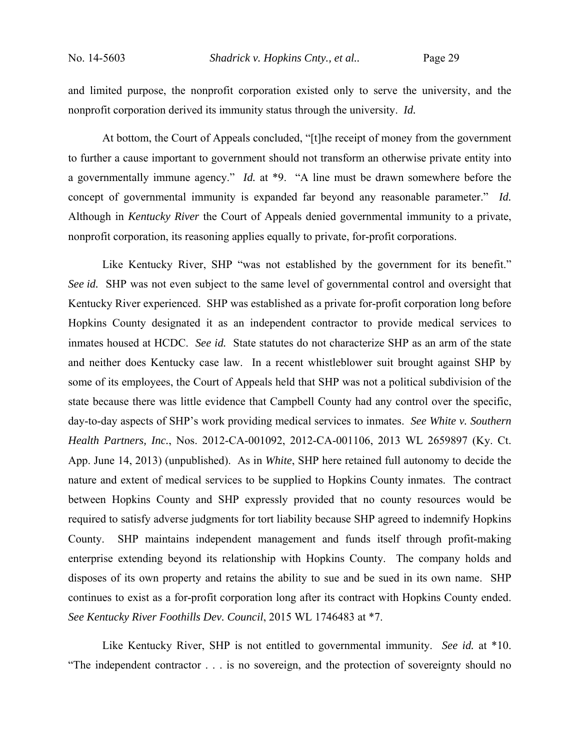and limited purpose, the nonprofit corporation existed only to serve the university, and the nonprofit corporation derived its immunity status through the university. *Id.*

At bottom, the Court of Appeals concluded, "[t]he receipt of money from the government to further a cause important to government should not transform an otherwise private entity into a governmentally immune agency." *Id.* at \*9. "A line must be drawn somewhere before the concept of governmental immunity is expanded far beyond any reasonable parameter." *Id.* Although in *Kentucky River* the Court of Appeals denied governmental immunity to a private, nonprofit corporation, its reasoning applies equally to private, for-profit corporations.

Like Kentucky River, SHP "was not established by the government for its benefit." *See id.* SHP was not even subject to the same level of governmental control and oversight that Kentucky River experienced. SHP was established as a private for-profit corporation long before Hopkins County designated it as an independent contractor to provide medical services to inmates housed at HCDC. *See id.* State statutes do not characterize SHP as an arm of the state and neither does Kentucky case law. In a recent whistleblower suit brought against SHP by some of its employees, the Court of Appeals held that SHP was not a political subdivision of the state because there was little evidence that Campbell County had any control over the specific, day-to-day aspects of SHP's work providing medical services to inmates. *See White v. Southern Health Partners, Inc.*, Nos. 2012-CA-001092, 2012-CA-001106, 2013 WL 2659897 (Ky. Ct. App. June 14, 2013) (unpublished). As in *White*, SHP here retained full autonomy to decide the nature and extent of medical services to be supplied to Hopkins County inmates. The contract between Hopkins County and SHP expressly provided that no county resources would be required to satisfy adverse judgments for tort liability because SHP agreed to indemnify Hopkins County. SHP maintains independent management and funds itself through profit-making enterprise extending beyond its relationship with Hopkins County. The company holds and disposes of its own property and retains the ability to sue and be sued in its own name. SHP continues to exist as a for-profit corporation long after its contract with Hopkins County ended. *See Kentucky River Foothills Dev. Council*, 2015 WL 1746483 at \*7.

Like Kentucky River, SHP is not entitled to governmental immunity. *See id.* at \*10. "The independent contractor . . . is no sovereign, and the protection of sovereignty should no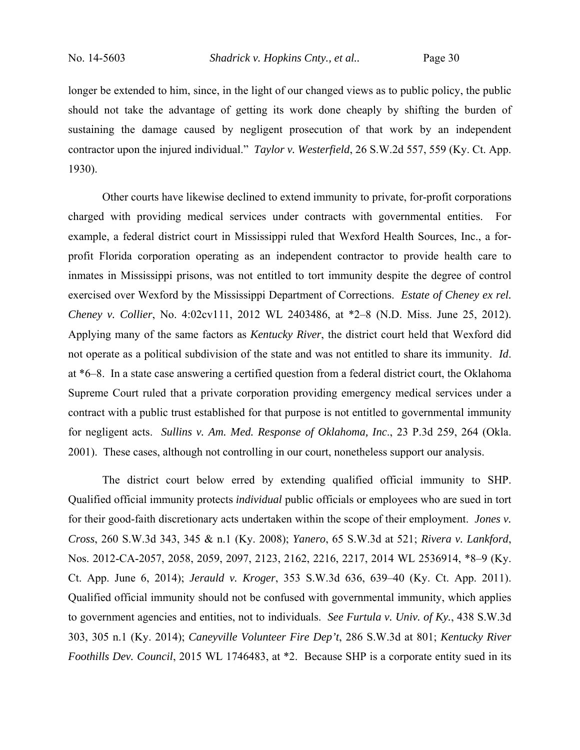longer be extended to him, since, in the light of our changed views as to public policy, the public should not take the advantage of getting its work done cheaply by shifting the burden of sustaining the damage caused by negligent prosecution of that work by an independent contractor upon the injured individual." *Taylor v. Westerfield*, 26 S.W.2d 557, 559 (Ky. Ct. App. 1930).

Other courts have likewise declined to extend immunity to private, for-profit corporations charged with providing medical services under contracts with governmental entities. For example, a federal district court in Mississippi ruled that Wexford Health Sources, Inc., a forprofit Florida corporation operating as an independent contractor to provide health care to inmates in Mississippi prisons, was not entitled to tort immunity despite the degree of control exercised over Wexford by the Mississippi Department of Corrections. *Estate of Cheney ex rel. Cheney v. Collier*, No. 4:02cv111, 2012 WL 2403486, at \*2–8 (N.D. Miss. June 25, 2012). Applying many of the same factors as *Kentucky River*, the district court held that Wexford did not operate as a political subdivision of the state and was not entitled to share its immunity. *Id*. at \*6–8. In a state case answering a certified question from a federal district court, the Oklahoma Supreme Court ruled that a private corporation providing emergency medical services under a contract with a public trust established for that purpose is not entitled to governmental immunity for negligent acts. *Sullins v. Am. Med. Response of Oklahoma, Inc*., 23 P.3d 259, 264 (Okla. 2001). These cases, although not controlling in our court, nonetheless support our analysis.

The district court below erred by extending qualified official immunity to SHP. Qualified official immunity protects *individual* public officials or employees who are sued in tort for their good-faith discretionary acts undertaken within the scope of their employment. *Jones v. Cross*, 260 S.W.3d 343, 345 & n.1 (Ky. 2008); *Yanero*, 65 S.W.3d at 521; *Rivera v. Lankford*, Nos. 2012-CA-2057, 2058, 2059, 2097, 2123, 2162, 2216, 2217, 2014 WL 2536914, \*8–9 (Ky. Ct. App. June 6, 2014); *Jerauld v. Kroger*, 353 S.W.3d 636, 639–40 (Ky. Ct. App. 2011). Qualified official immunity should not be confused with governmental immunity, which applies to government agencies and entities, not to individuals. *See Furtula v. Univ. of Ky.*, 438 S.W.3d 303, 305 n.1 (Ky. 2014); *Caneyville Volunteer Fire Dep't*, 286 S.W.3d at 801; *Kentucky River Foothills Dev. Council*, 2015 WL 1746483, at \*2. Because SHP is a corporate entity sued in its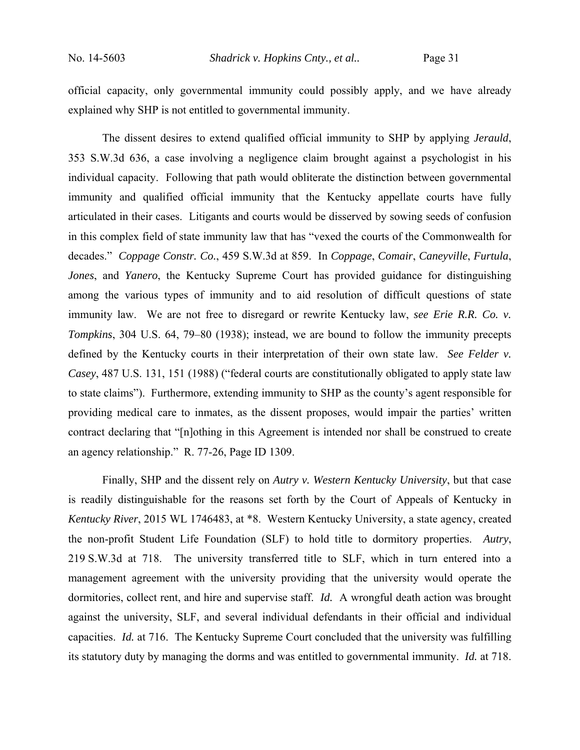official capacity, only governmental immunity could possibly apply, and we have already explained why SHP is not entitled to governmental immunity.

The dissent desires to extend qualified official immunity to SHP by applying *Jerauld*, 353 S.W.3d 636, a case involving a negligence claim brought against a psychologist in his individual capacity. Following that path would obliterate the distinction between governmental immunity and qualified official immunity that the Kentucky appellate courts have fully articulated in their cases. Litigants and courts would be disserved by sowing seeds of confusion in this complex field of state immunity law that has "vexed the courts of the Commonwealth for decades." *Coppage Constr. Co.*, 459 S.W.3d at 859. In *Coppage*, *Comair*, *Caneyville*, *Furtula*, *Jones*, and *Yanero*, the Kentucky Supreme Court has provided guidance for distinguishing among the various types of immunity and to aid resolution of difficult questions of state immunity law. We are not free to disregard or rewrite Kentucky law, *see Erie R.R. Co. v. Tompkins*, 304 U.S. 64, 79–80 (1938); instead, we are bound to follow the immunity precepts defined by the Kentucky courts in their interpretation of their own state law. *See Felder v. Casey*, 487 U.S. 131, 151 (1988) ("federal courts are constitutionally obligated to apply state law to state claims"). Furthermore, extending immunity to SHP as the county's agent responsible for providing medical care to inmates, as the dissent proposes, would impair the parties' written contract declaring that "[n]othing in this Agreement is intended nor shall be construed to create an agency relationship." R. 77-26, Page ID 1309.

 Finally, SHP and the dissent rely on *Autry v. Western Kentucky University*, but that case is readily distinguishable for the reasons set forth by the Court of Appeals of Kentucky in *Kentucky River*, 2015 WL 1746483, at \*8. Western Kentucky University, a state agency, created the non-profit Student Life Foundation (SLF) to hold title to dormitory properties. *Autry*, 219 S.W.3d at 718. The university transferred title to SLF, which in turn entered into a management agreement with the university providing that the university would operate the dormitories, collect rent, and hire and supervise staff. *Id.* A wrongful death action was brought against the university, SLF, and several individual defendants in their official and individual capacities. *Id.* at 716. The Kentucky Supreme Court concluded that the university was fulfilling its statutory duty by managing the dorms and was entitled to governmental immunity. *Id.* at 718.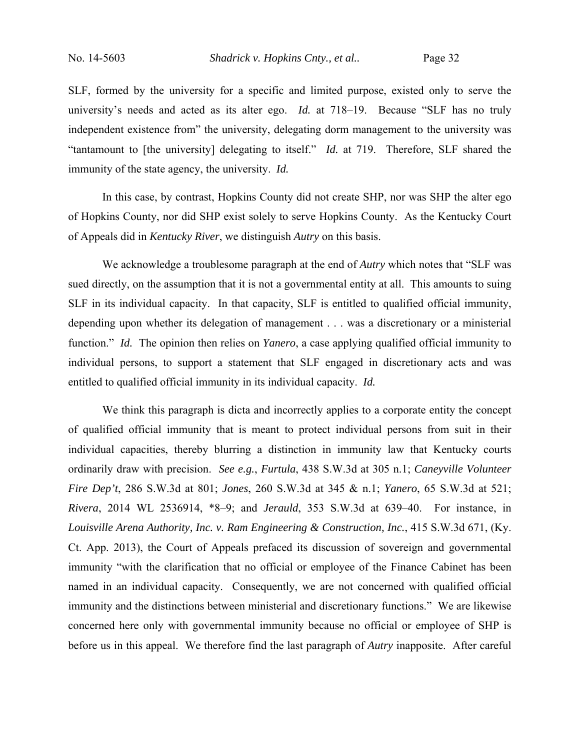SLF, formed by the university for a specific and limited purpose, existed only to serve the university's needs and acted as its alter ego. *Id.* at 718–19. Because "SLF has no truly independent existence from" the university, delegating dorm management to the university was "tantamount to [the university] delegating to itself." *Id.* at 719. Therefore, SLF shared the immunity of the state agency, the university. *Id.*

In this case, by contrast, Hopkins County did not create SHP, nor was SHP the alter ego of Hopkins County, nor did SHP exist solely to serve Hopkins County. As the Kentucky Court of Appeals did in *Kentucky River*, we distinguish *Autry* on this basis.

We acknowledge a troublesome paragraph at the end of *Autry* which notes that "SLF was sued directly, on the assumption that it is not a governmental entity at all. This amounts to suing SLF in its individual capacity. In that capacity, SLF is entitled to qualified official immunity, depending upon whether its delegation of management . . . was a discretionary or a ministerial function." *Id.* The opinion then relies on *Yanero*, a case applying qualified official immunity to individual persons, to support a statement that SLF engaged in discretionary acts and was entitled to qualified official immunity in its individual capacity. *Id.*

We think this paragraph is dicta and incorrectly applies to a corporate entity the concept of qualified official immunity that is meant to protect individual persons from suit in their individual capacities, thereby blurring a distinction in immunity law that Kentucky courts ordinarily draw with precision. *See e.g.*, *Furtula*, 438 S.W.3d at 305 n.1; *Caneyville Volunteer Fire Dep't*, 286 S.W.3d at 801; *Jones*, 260 S.W.3d at 345 & n.1; *Yanero*, 65 S.W.3d at 521; *Rivera*, 2014 WL 2536914, \*8–9; and *Jerauld*, 353 S.W.3d at 639–40. For instance, in *Louisville Arena Authority, Inc. v. Ram Engineering & Construction, Inc.*, 415 S.W.3d 671, (Ky. Ct. App. 2013), the Court of Appeals prefaced its discussion of sovereign and governmental immunity "with the clarification that no official or employee of the Finance Cabinet has been named in an individual capacity. Consequently, we are not concerned with qualified official immunity and the distinctions between ministerial and discretionary functions." We are likewise concerned here only with governmental immunity because no official or employee of SHP is before us in this appeal. We therefore find the last paragraph of *Autry* inapposite. After careful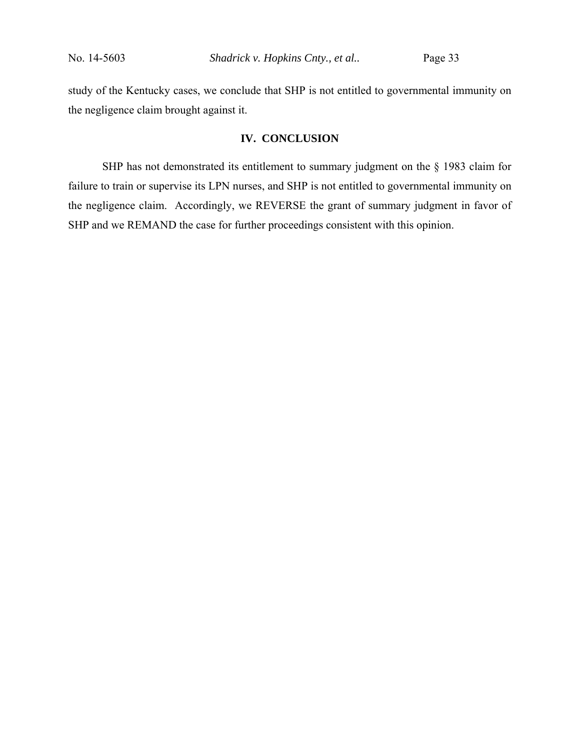study of the Kentucky cases, we conclude that SHP is not entitled to governmental immunity on the negligence claim brought against it.

## **IV. CONCLUSION**

SHP has not demonstrated its entitlement to summary judgment on the § 1983 claim for failure to train or supervise its LPN nurses, and SHP is not entitled to governmental immunity on the negligence claim. Accordingly, we REVERSE the grant of summary judgment in favor of SHP and we REMAND the case for further proceedings consistent with this opinion.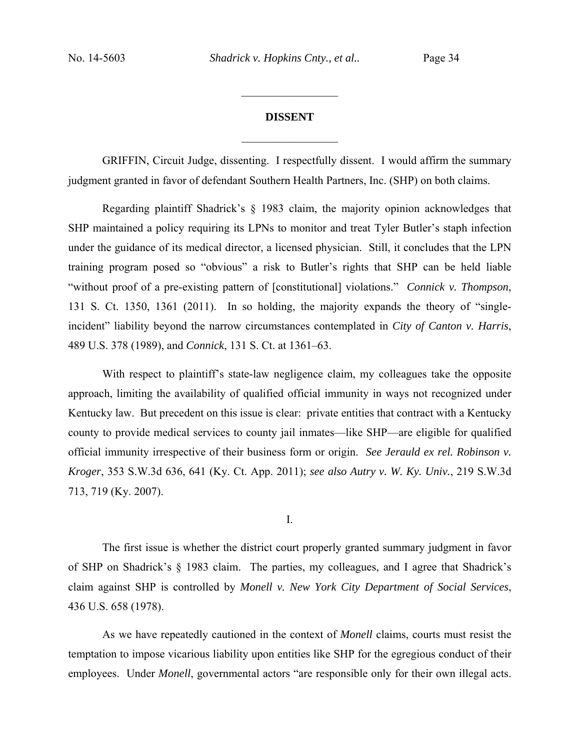# **DISSENT**  $\frac{1}{2}$

 $\frac{1}{2}$  ,  $\frac{1}{2}$  ,  $\frac{1}{2}$  ,  $\frac{1}{2}$  ,  $\frac{1}{2}$  ,  $\frac{1}{2}$  ,  $\frac{1}{2}$  ,  $\frac{1}{2}$  ,  $\frac{1}{2}$ 

GRIFFIN, Circuit Judge, dissenting. I respectfully dissent. I would affirm the summary judgment granted in favor of defendant Southern Health Partners, Inc. (SHP) on both claims.

Regarding plaintiff Shadrick's § 1983 claim, the majority opinion acknowledges that SHP maintained a policy requiring its LPNs to monitor and treat Tyler Butler's staph infection under the guidance of its medical director, a licensed physician. Still, it concludes that the LPN training program posed so "obvious" a risk to Butler's rights that SHP can be held liable "without proof of a pre-existing pattern of [constitutional] violations." *Connick v. Thompson*, 131 S. Ct. 1350, 1361 (2011). In so holding, the majority expands the theory of "singleincident" liability beyond the narrow circumstances contemplated in *City of Canton v. Harris*, 489 U.S. 378 (1989), and *Connick*, 131 S. Ct. at 1361–63.

With respect to plaintiff's state-law negligence claim, my colleagues take the opposite approach, limiting the availability of qualified official immunity in ways not recognized under Kentucky law. But precedent on this issue is clear: private entities that contract with a Kentucky county to provide medical services to county jail inmates—like SHP—are eligible for qualified official immunity irrespective of their business form or origin. *See Jerauld ex rel. Robinson v. Kroger*, 353 S.W.3d 636, 641 (Ky. Ct. App. 2011); *see also Autry v. W. Ky. Univ.*, 219 S.W.3d 713, 719 (Ky. 2007).

I.

The first issue is whether the district court properly granted summary judgment in favor of SHP on Shadrick's § 1983 claim. The parties, my colleagues, and I agree that Shadrick's claim against SHP is controlled by *Monell v. New York City Department of Social Services*, 436 U.S. 658 (1978).

As we have repeatedly cautioned in the context of *Monell* claims, courts must resist the temptation to impose vicarious liability upon entities like SHP for the egregious conduct of their employees. Under *Monell*, governmental actors "are responsible only for their own illegal acts.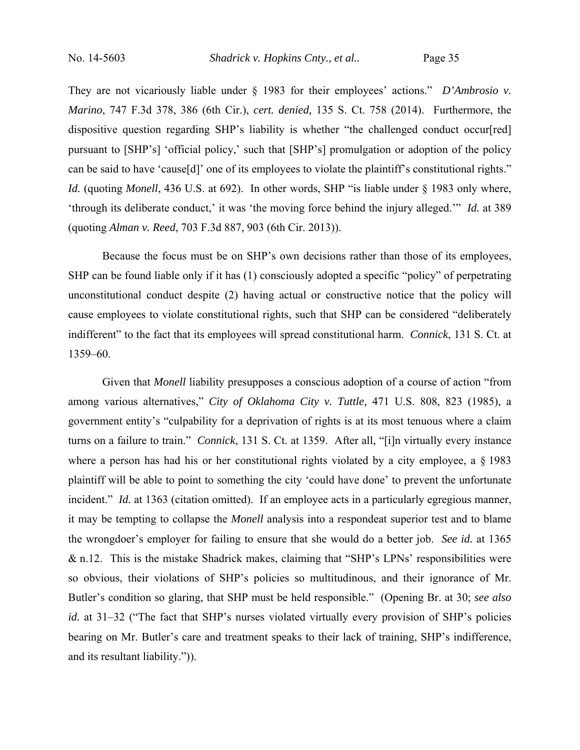They are not vicariously liable under § 1983 for their employees' actions." *D'Ambrosio v. Marino*, 747 F.3d 378, 386 (6th Cir.), *cert. denied,* 135 S. Ct. 758 (2014). Furthermore, the dispositive question regarding SHP's liability is whether "the challenged conduct occur[red] pursuant to [SHP's] 'official policy,' such that [SHP's] promulgation or adoption of the policy can be said to have 'cause[d]' one of its employees to violate the plaintiff's constitutional rights." *Id.* (quoting *Monell*, 436 U.S. at 692). In other words, SHP "is liable under § 1983 only where, 'through its deliberate conduct,' it was 'the moving force behind the injury alleged.'" *Id.* at 389 (quoting *Alman v. Reed*, 703 F.3d 887, 903 (6th Cir. 2013)).

Because the focus must be on SHP's own decisions rather than those of its employees, SHP can be found liable only if it has (1) consciously adopted a specific "policy" of perpetrating unconstitutional conduct despite (2) having actual or constructive notice that the policy will cause employees to violate constitutional rights, such that SHP can be considered "deliberately indifferent" to the fact that its employees will spread constitutional harm. *Connick*, 131 S. Ct. at 1359–60.

Given that *Monell* liability presupposes a conscious adoption of a course of action "from among various alternatives," *City of Oklahoma City v. Tuttle,* 471 U.S. 808, 823 (1985), a government entity's "culpability for a deprivation of rights is at its most tenuous where a claim turns on a failure to train." *Connick*, 131 S. Ct. at 1359. After all, "[i]n virtually every instance where a person has had his or her constitutional rights violated by a city employee, a  $\S$  1983 plaintiff will be able to point to something the city 'could have done' to prevent the unfortunate incident." *Id.* at 1363 (citation omitted). If an employee acts in a particularly egregious manner, it may be tempting to collapse the *Monell* analysis into a respondeat superior test and to blame the wrongdoer's employer for failing to ensure that she would do a better job. *See id.* at 1365 & n.12. This is the mistake Shadrick makes, claiming that "SHP's LPNs' responsibilities were so obvious, their violations of SHP's policies so multitudinous, and their ignorance of Mr. Butler's condition so glaring, that SHP must be held responsible." (Opening Br. at 30; *see also id.* at 31–32 ("The fact that SHP's nurses violated virtually every provision of SHP's policies bearing on Mr. Butler's care and treatment speaks to their lack of training, SHP's indifference, and its resultant liability.")).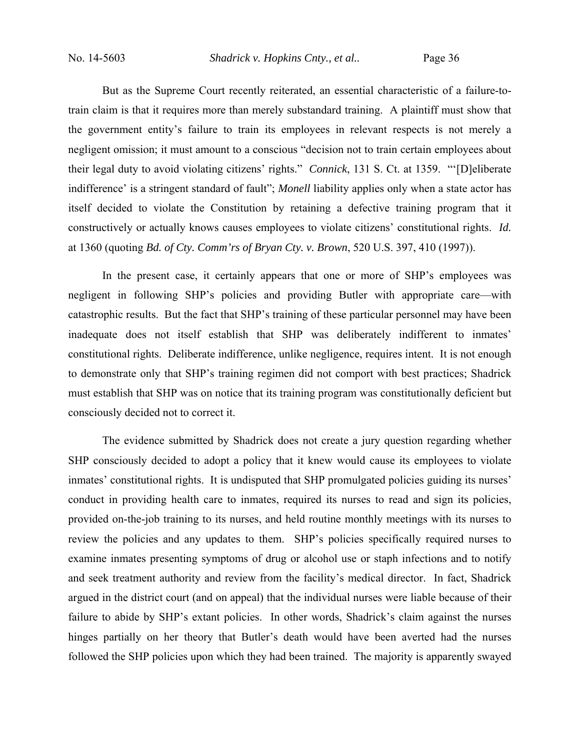No. 14-5603 *Shadrick v. Hopkins Cnty., et al..* Page 36

But as the Supreme Court recently reiterated, an essential characteristic of a failure-totrain claim is that it requires more than merely substandard training. A plaintiff must show that the government entity's failure to train its employees in relevant respects is not merely a negligent omission; it must amount to a conscious "decision not to train certain employees about their legal duty to avoid violating citizens' rights." *Connick*, 131 S. Ct. at 1359. "'[D]eliberate indifference' is a stringent standard of fault"; *Monell* liability applies only when a state actor has itself decided to violate the Constitution by retaining a defective training program that it constructively or actually knows causes employees to violate citizens' constitutional rights. *Id.* at 1360 (quoting *Bd. of Cty. Comm'rs of Bryan Cty. v. Brown*, 520 U.S. 397, 410 (1997)).

In the present case, it certainly appears that one or more of SHP's employees was negligent in following SHP's policies and providing Butler with appropriate care—with catastrophic results. But the fact that SHP's training of these particular personnel may have been inadequate does not itself establish that SHP was deliberately indifferent to inmates' constitutional rights. Deliberate indifference, unlike negligence, requires intent. It is not enough to demonstrate only that SHP's training regimen did not comport with best practices; Shadrick must establish that SHP was on notice that its training program was constitutionally deficient but consciously decided not to correct it.

The evidence submitted by Shadrick does not create a jury question regarding whether SHP consciously decided to adopt a policy that it knew would cause its employees to violate inmates' constitutional rights. It is undisputed that SHP promulgated policies guiding its nurses' conduct in providing health care to inmates, required its nurses to read and sign its policies, provided on-the-job training to its nurses, and held routine monthly meetings with its nurses to review the policies and any updates to them. SHP's policies specifically required nurses to examine inmates presenting symptoms of drug or alcohol use or staph infections and to notify and seek treatment authority and review from the facility's medical director. In fact, Shadrick argued in the district court (and on appeal) that the individual nurses were liable because of their failure to abide by SHP's extant policies. In other words, Shadrick's claim against the nurses hinges partially on her theory that Butler's death would have been averted had the nurses followed the SHP policies upon which they had been trained. The majority is apparently swayed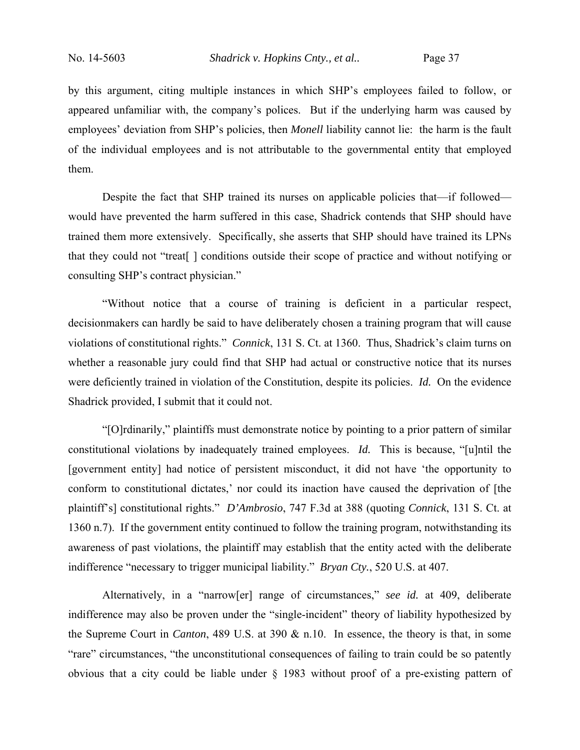by this argument, citing multiple instances in which SHP's employees failed to follow, or appeared unfamiliar with, the company's polices. But if the underlying harm was caused by employees' deviation from SHP's policies, then *Monell* liability cannot lie: the harm is the fault of the individual employees and is not attributable to the governmental entity that employed them.

Despite the fact that SHP trained its nurses on applicable policies that—if followed would have prevented the harm suffered in this case, Shadrick contends that SHP should have trained them more extensively. Specifically, she asserts that SHP should have trained its LPNs that they could not "treat[ ] conditions outside their scope of practice and without notifying or consulting SHP's contract physician."

"Without notice that a course of training is deficient in a particular respect, decisionmakers can hardly be said to have deliberately chosen a training program that will cause violations of constitutional rights." *Connick*, 131 S. Ct. at 1360. Thus, Shadrick's claim turns on whether a reasonable jury could find that SHP had actual or constructive notice that its nurses were deficiently trained in violation of the Constitution, despite its policies. *Id.* On the evidence Shadrick provided, I submit that it could not.

"[O]rdinarily," plaintiffs must demonstrate notice by pointing to a prior pattern of similar constitutional violations by inadequately trained employees. *Id.* This is because, "[u]ntil the [government entity] had notice of persistent misconduct, it did not have 'the opportunity to conform to constitutional dictates,' nor could its inaction have caused the deprivation of [the plaintiff's] constitutional rights." *D'Ambrosio*, 747 F.3d at 388 (quoting *Connick*, 131 S. Ct. at 1360 n.7). If the government entity continued to follow the training program, notwithstanding its awareness of past violations, the plaintiff may establish that the entity acted with the deliberate indifference "necessary to trigger municipal liability." *Bryan Cty.*, 520 U.S. at 407.

Alternatively, in a "narrow[er] range of circumstances," *see id.* at 409, deliberate indifference may also be proven under the "single-incident" theory of liability hypothesized by the Supreme Court in *Canton*, 489 U.S. at 390 & n.10. In essence, the theory is that, in some "rare" circumstances, "the unconstitutional consequences of failing to train could be so patently obvious that a city could be liable under § 1983 without proof of a pre-existing pattern of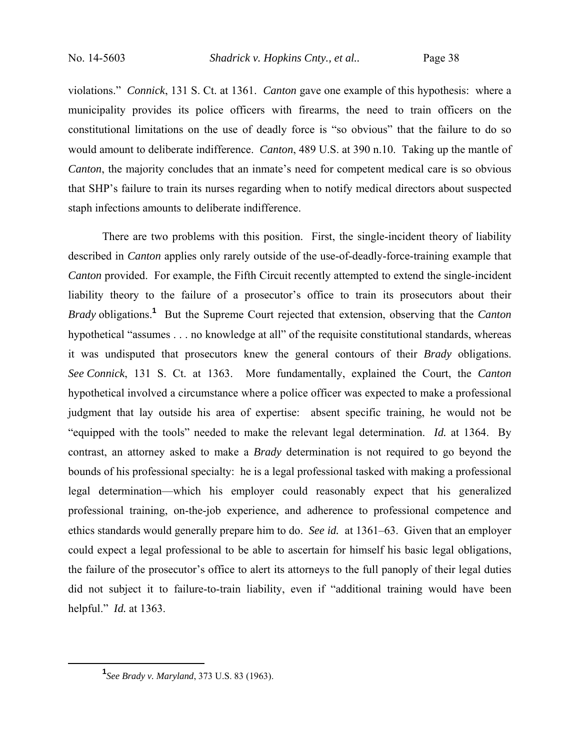violations." *Connick*, 131 S. Ct. at 1361. *Canton* gave one example of this hypothesis: where a municipality provides its police officers with firearms, the need to train officers on the constitutional limitations on the use of deadly force is "so obvious" that the failure to do so would amount to deliberate indifference. *Canton*, 489 U.S. at 390 n.10. Taking up the mantle of *Canton*, the majority concludes that an inmate's need for competent medical care is so obvious that SHP's failure to train its nurses regarding when to notify medical directors about suspected staph infections amounts to deliberate indifference.

There are two problems with this position. First, the single-incident theory of liability described in *Canton* applies only rarely outside of the use-of-deadly-force-training example that *Canton* provided. For example, the Fifth Circuit recently attempted to extend the single-incident liability theory to the failure of a prosecutor's office to train its prosecutors about their *Brady* obligations.**<sup>1</sup>** But the Supreme Court rejected that extension, observing that the *Canton* hypothetical "assumes . . . no knowledge at all" of the requisite constitutional standards, whereas it was undisputed that prosecutors knew the general contours of their *Brady* obligations. *See Connick*, 131 S. Ct. at 1363. More fundamentally, explained the Court, the *Canton* hypothetical involved a circumstance where a police officer was expected to make a professional judgment that lay outside his area of expertise: absent specific training, he would not be "equipped with the tools" needed to make the relevant legal determination. *Id.* at 1364. By contrast, an attorney asked to make a *Brady* determination is not required to go beyond the bounds of his professional specialty: he is a legal professional tasked with making a professional legal determination—which his employer could reasonably expect that his generalized professional training, on-the-job experience, and adherence to professional competence and ethics standards would generally prepare him to do. *See id.* at 1361–63. Given that an employer could expect a legal professional to be able to ascertain for himself his basic legal obligations, the failure of the prosecutor's office to alert its attorneys to the full panoply of their legal duties did not subject it to failure-to-train liability, even if "additional training would have been helpful." *Id.* at 1363.

 $\frac{1}{1}$ *See Brady v. Maryland*, 373 U.S. 83 (1963).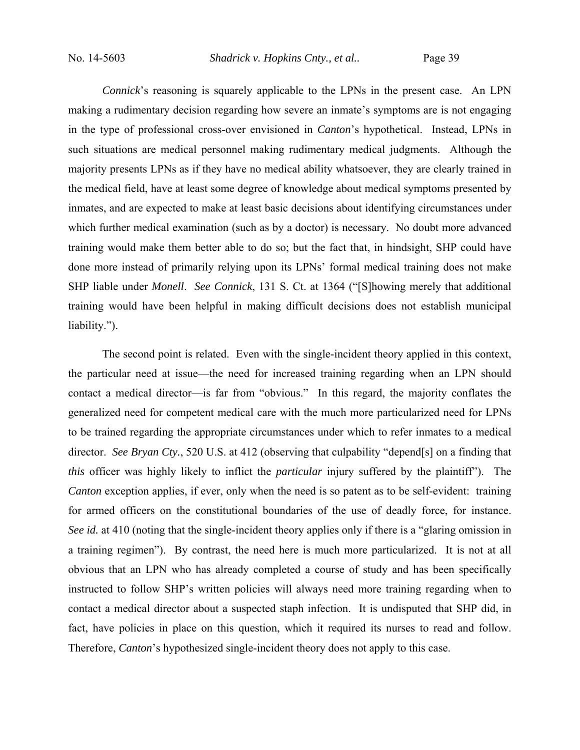No. 14-5603 *Shadrick v. Hopkins Cnty., et al..* Page 39

*Connick*'s reasoning is squarely applicable to the LPNs in the present case. An LPN making a rudimentary decision regarding how severe an inmate's symptoms are is not engaging in the type of professional cross-over envisioned in *Canton*'s hypothetical. Instead, LPNs in such situations are medical personnel making rudimentary medical judgments. Although the majority presents LPNs as if they have no medical ability whatsoever, they are clearly trained in the medical field, have at least some degree of knowledge about medical symptoms presented by inmates, and are expected to make at least basic decisions about identifying circumstances under which further medical examination (such as by a doctor) is necessary. No doubt more advanced training would make them better able to do so; but the fact that, in hindsight, SHP could have done more instead of primarily relying upon its LPNs' formal medical training does not make SHP liable under *Monell*. *See Connick*, 131 S. Ct. at 1364 ("[S]howing merely that additional training would have been helpful in making difficult decisions does not establish municipal liability.").

The second point is related. Even with the single-incident theory applied in this context, the particular need at issue—the need for increased training regarding when an LPN should contact a medical director—is far from "obvious." In this regard, the majority conflates the generalized need for competent medical care with the much more particularized need for LPNs to be trained regarding the appropriate circumstances under which to refer inmates to a medical director. *See Bryan Cty.*, 520 U.S. at 412 (observing that culpability "depend[s] on a finding that *this* officer was highly likely to inflict the *particular* injury suffered by the plaintiff"). The *Canton* exception applies, if ever, only when the need is so patent as to be self-evident: training for armed officers on the constitutional boundaries of the use of deadly force, for instance. *See id.* at 410 (noting that the single-incident theory applies only if there is a "glaring omission in a training regimen"). By contrast, the need here is much more particularized. It is not at all obvious that an LPN who has already completed a course of study and has been specifically instructed to follow SHP's written policies will always need more training regarding when to contact a medical director about a suspected staph infection. It is undisputed that SHP did, in fact, have policies in place on this question, which it required its nurses to read and follow. Therefore, *Canton*'s hypothesized single-incident theory does not apply to this case.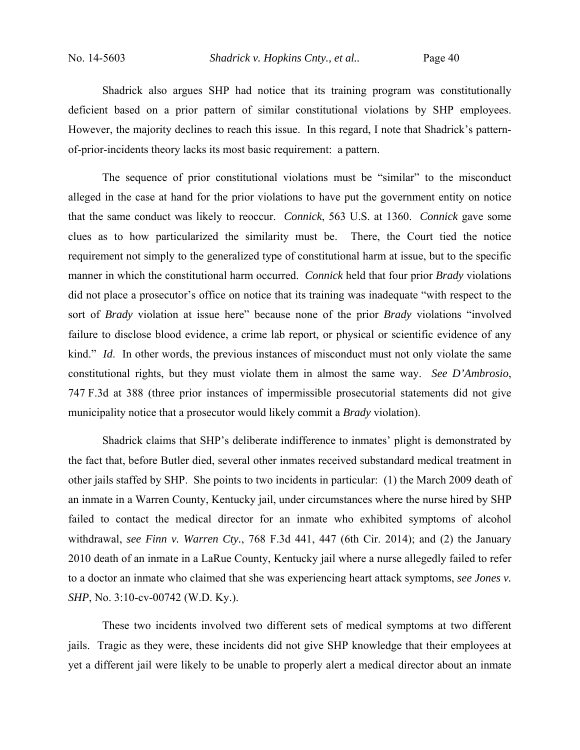Shadrick also argues SHP had notice that its training program was constitutionally deficient based on a prior pattern of similar constitutional violations by SHP employees. However, the majority declines to reach this issue. In this regard, I note that Shadrick's patternof-prior-incidents theory lacks its most basic requirement: a pattern.

The sequence of prior constitutional violations must be "similar" to the misconduct alleged in the case at hand for the prior violations to have put the government entity on notice that the same conduct was likely to reoccur. *Connick*, 563 U.S. at 1360. *Connick* gave some clues as to how particularized the similarity must be. There, the Court tied the notice requirement not simply to the generalized type of constitutional harm at issue, but to the specific manner in which the constitutional harm occurred. *Connick* held that four prior *Brady* violations did not place a prosecutor's office on notice that its training was inadequate "with respect to the sort of *Brady* violation at issue here" because none of the prior *Brady* violations "involved failure to disclose blood evidence, a crime lab report, or physical or scientific evidence of any kind." *Id*. In other words, the previous instances of misconduct must not only violate the same constitutional rights, but they must violate them in almost the same way. *See D'Ambrosio*, 747 F.3d at 388 (three prior instances of impermissible prosecutorial statements did not give municipality notice that a prosecutor would likely commit a *Brady* violation).

Shadrick claims that SHP's deliberate indifference to inmates' plight is demonstrated by the fact that, before Butler died, several other inmates received substandard medical treatment in other jails staffed by SHP. She points to two incidents in particular: (1) the March 2009 death of an inmate in a Warren County, Kentucky jail, under circumstances where the nurse hired by SHP failed to contact the medical director for an inmate who exhibited symptoms of alcohol withdrawal, *see Finn v. Warren Cty.*, 768 F.3d 441, 447 (6th Cir. 2014); and (2) the January 2010 death of an inmate in a LaRue County, Kentucky jail where a nurse allegedly failed to refer to a doctor an inmate who claimed that she was experiencing heart attack symptoms, *see Jones v. SHP*, No. 3:10-cv-00742 (W.D. Ky.).

These two incidents involved two different sets of medical symptoms at two different jails. Tragic as they were, these incidents did not give SHP knowledge that their employees at yet a different jail were likely to be unable to properly alert a medical director about an inmate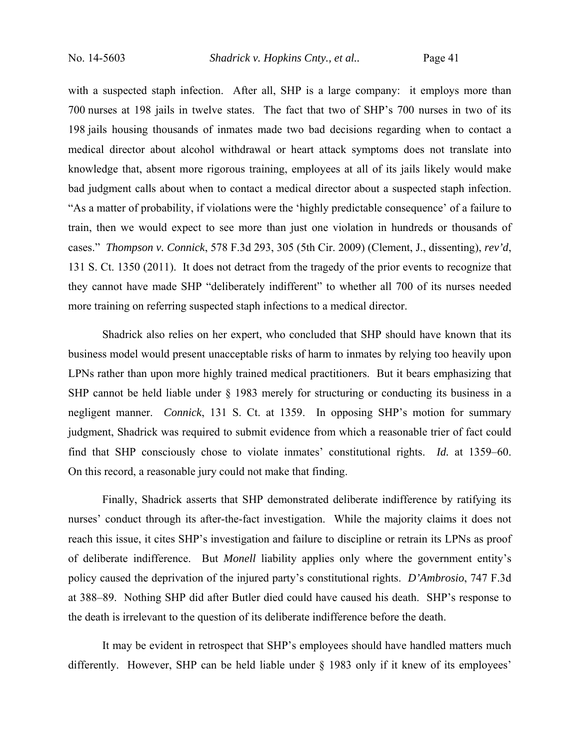No. 14-5603 *Shadrick v. Hopkins Cnty., et al..* Page 41

with a suspected staph infection. After all, SHP is a large company: it employs more than 700 nurses at 198 jails in twelve states. The fact that two of SHP's 700 nurses in two of its 198 jails housing thousands of inmates made two bad decisions regarding when to contact a medical director about alcohol withdrawal or heart attack symptoms does not translate into knowledge that, absent more rigorous training, employees at all of its jails likely would make bad judgment calls about when to contact a medical director about a suspected staph infection. "As a matter of probability, if violations were the 'highly predictable consequence' of a failure to train, then we would expect to see more than just one violation in hundreds or thousands of cases." *Thompson v. Connick*, 578 F.3d 293, 305 (5th Cir. 2009) (Clement, J., dissenting), *rev'd*, 131 S. Ct. 1350 (2011). It does not detract from the tragedy of the prior events to recognize that they cannot have made SHP "deliberately indifferent" to whether all 700 of its nurses needed more training on referring suspected staph infections to a medical director.

Shadrick also relies on her expert, who concluded that SHP should have known that its business model would present unacceptable risks of harm to inmates by relying too heavily upon LPNs rather than upon more highly trained medical practitioners. But it bears emphasizing that SHP cannot be held liable under § 1983 merely for structuring or conducting its business in a negligent manner. *Connick*, 131 S. Ct. at 1359. In opposing SHP's motion for summary judgment, Shadrick was required to submit evidence from which a reasonable trier of fact could find that SHP consciously chose to violate inmates' constitutional rights. *Id.* at 1359–60. On this record, a reasonable jury could not make that finding.

Finally, Shadrick asserts that SHP demonstrated deliberate indifference by ratifying its nurses' conduct through its after-the-fact investigation. While the majority claims it does not reach this issue, it cites SHP's investigation and failure to discipline or retrain its LPNs as proof of deliberate indifference. But *Monell* liability applies only where the government entity's policy caused the deprivation of the injured party's constitutional rights. *D'Ambrosio*, 747 F.3d at 388–89. Nothing SHP did after Butler died could have caused his death. SHP's response to the death is irrelevant to the question of its deliberate indifference before the death.

It may be evident in retrospect that SHP's employees should have handled matters much differently. However, SHP can be held liable under § 1983 only if it knew of its employees'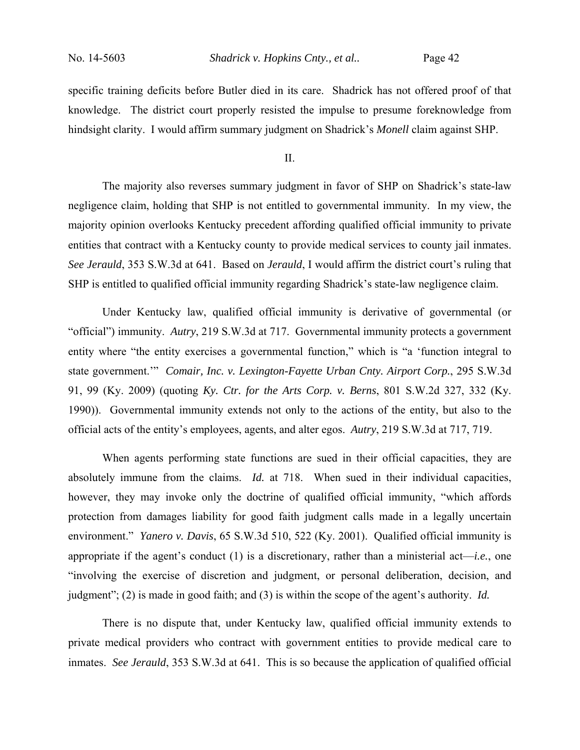specific training deficits before Butler died in its care. Shadrick has not offered proof of that knowledge. The district court properly resisted the impulse to presume foreknowledge from hindsight clarity. I would affirm summary judgment on Shadrick's *Monell* claim against SHP.

II.

 The majority also reverses summary judgment in favor of SHP on Shadrick's state-law negligence claim, holding that SHP is not entitled to governmental immunity. In my view, the majority opinion overlooks Kentucky precedent affording qualified official immunity to private entities that contract with a Kentucky county to provide medical services to county jail inmates. *See Jerauld*, 353 S.W.3d at 641. Based on *Jerauld*, I would affirm the district court's ruling that SHP is entitled to qualified official immunity regarding Shadrick's state-law negligence claim.

Under Kentucky law, qualified official immunity is derivative of governmental (or "official") immunity. *Autry*, 219 S.W.3d at 717. Governmental immunity protects a government entity where "the entity exercises a governmental function," which is "a 'function integral to state government.'" *Comair, Inc. v. Lexington-Fayette Urban Cnty. Airport Corp.*, 295 S.W.3d 91, 99 (Ky. 2009) (quoting *Ky. Ctr. for the Arts Corp. v. Berns*, 801 S.W.2d 327, 332 (Ky. 1990)). Governmental immunity extends not only to the actions of the entity, but also to the official acts of the entity's employees, agents, and alter egos. *Autry*, 219 S.W.3d at 717, 719.

When agents performing state functions are sued in their official capacities, they are absolutely immune from the claims. *Id.* at 718. When sued in their individual capacities, however, they may invoke only the doctrine of qualified official immunity, "which affords protection from damages liability for good faith judgment calls made in a legally uncertain environment." *Yanero v. Davis*, 65 S.W.3d 510, 522 (Ky. 2001). Qualified official immunity is appropriate if the agent's conduct (1) is a discretionary, rather than a ministerial act—*i.e.*, one "involving the exercise of discretion and judgment, or personal deliberation, decision, and judgment"; (2) is made in good faith; and (3) is within the scope of the agent's authority. *Id.*

There is no dispute that, under Kentucky law, qualified official immunity extends to private medical providers who contract with government entities to provide medical care to inmates. *See Jerauld*, 353 S.W.3d at 641. This is so because the application of qualified official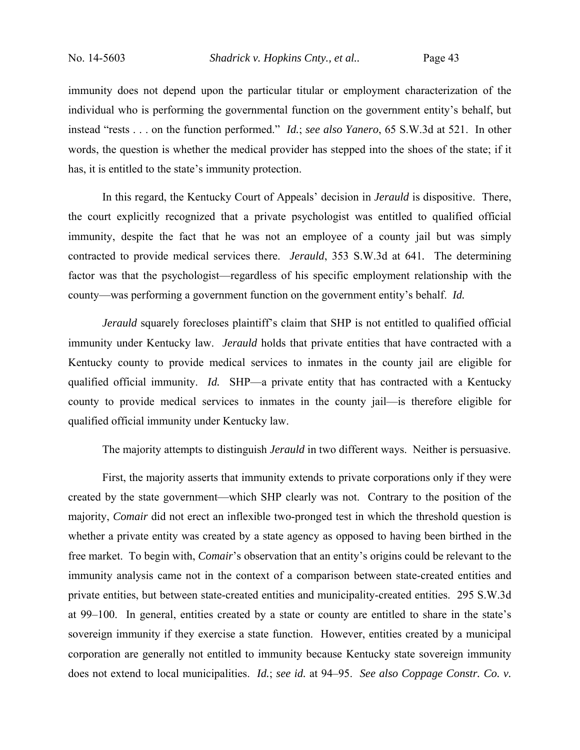immunity does not depend upon the particular titular or employment characterization of the individual who is performing the governmental function on the government entity's behalf, but instead "rests . . . on the function performed." *Id.*; *see also Yanero*, 65 S.W.3d at 521. In other words, the question is whether the medical provider has stepped into the shoes of the state; if it has, it is entitled to the state's immunity protection.

In this regard, the Kentucky Court of Appeals' decision in *Jerauld* is dispositive. There, the court explicitly recognized that a private psychologist was entitled to qualified official immunity, despite the fact that he was not an employee of a county jail but was simply contracted to provide medical services there. *Jerauld*, 353 S.W.3d at 641*.* The determining factor was that the psychologist—regardless of his specific employment relationship with the county—was performing a government function on the government entity's behalf. *Id.* 

*Jerauld* squarely forecloses plaintiff's claim that SHP is not entitled to qualified official immunity under Kentucky law. *Jerauld* holds that private entities that have contracted with a Kentucky county to provide medical services to inmates in the county jail are eligible for qualified official immunity. *Id.* SHP—a private entity that has contracted with a Kentucky county to provide medical services to inmates in the county jail—is therefore eligible for qualified official immunity under Kentucky law.

The majority attempts to distinguish *Jerauld* in two different ways. Neither is persuasive.

First, the majority asserts that immunity extends to private corporations only if they were created by the state government—which SHP clearly was not. Contrary to the position of the majority, *Comair* did not erect an inflexible two-pronged test in which the threshold question is whether a private entity was created by a state agency as opposed to having been birthed in the free market. To begin with, *Comair*'s observation that an entity's origins could be relevant to the immunity analysis came not in the context of a comparison between state-created entities and private entities, but between state-created entities and municipality-created entities. 295 S.W.3d at 99–100. In general, entities created by a state or county are entitled to share in the state's sovereign immunity if they exercise a state function. However, entities created by a municipal corporation are generally not entitled to immunity because Kentucky state sovereign immunity does not extend to local municipalities. *Id.*; *see id.* at 94–95. *See also Coppage Constr. Co. v.*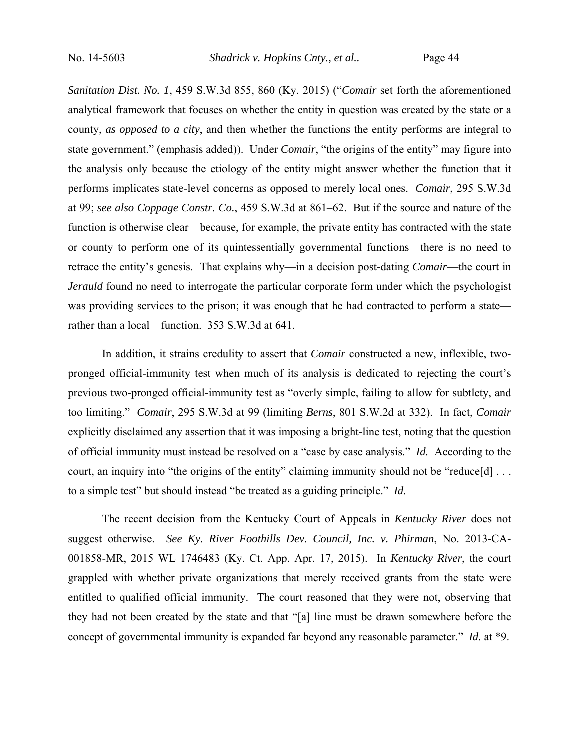*Sanitation Dist. No. 1*, 459 S.W.3d 855, 860 (Ky. 2015) ("*Comair* set forth the aforementioned analytical framework that focuses on whether the entity in question was created by the state or a county, *as opposed to a city*, and then whether the functions the entity performs are integral to state government." (emphasis added)). Under *Comair*, "the origins of the entity" may figure into the analysis only because the etiology of the entity might answer whether the function that it performs implicates state-level concerns as opposed to merely local ones. *Comair*, 295 S.W.3d at 99; *see also Coppage Constr. Co.*, 459 S.W.3d at 861–62. But if the source and nature of the function is otherwise clear—because, for example, the private entity has contracted with the state or county to perform one of its quintessentially governmental functions—there is no need to retrace the entity's genesis. That explains why—in a decision post-dating *Comair*—the court in *Jerauld* found no need to interrogate the particular corporate form under which the psychologist was providing services to the prison; it was enough that he had contracted to perform a state rather than a local—function. 353 S.W.3d at 641.

In addition, it strains credulity to assert that *Comair* constructed a new, inflexible, twopronged official-immunity test when much of its analysis is dedicated to rejecting the court's previous two-pronged official-immunity test as "overly simple, failing to allow for subtlety, and too limiting." *Comair*, 295 S.W.3d at 99 (limiting *Berns*, 801 S.W.2d at 332). In fact, *Comair* explicitly disclaimed any assertion that it was imposing a bright-line test, noting that the question of official immunity must instead be resolved on a "case by case analysis." *Id.* According to the court, an inquiry into "the origins of the entity" claiming immunity should not be "reduce[d] ... to a simple test" but should instead "be treated as a guiding principle." *Id.*

The recent decision from the Kentucky Court of Appeals in *Kentucky River* does not suggest otherwise. *See Ky. River Foothills Dev. Council, Inc. v. Phirman*, No. 2013-CA-001858-MR, 2015 WL 1746483 (Ky. Ct. App. Apr. 17, 2015). In *Kentucky River*, the court grappled with whether private organizations that merely received grants from the state were entitled to qualified official immunity. The court reasoned that they were not, observing that they had not been created by the state and that "[a] line must be drawn somewhere before the concept of governmental immunity is expanded far beyond any reasonable parameter." *Id.* at \*9.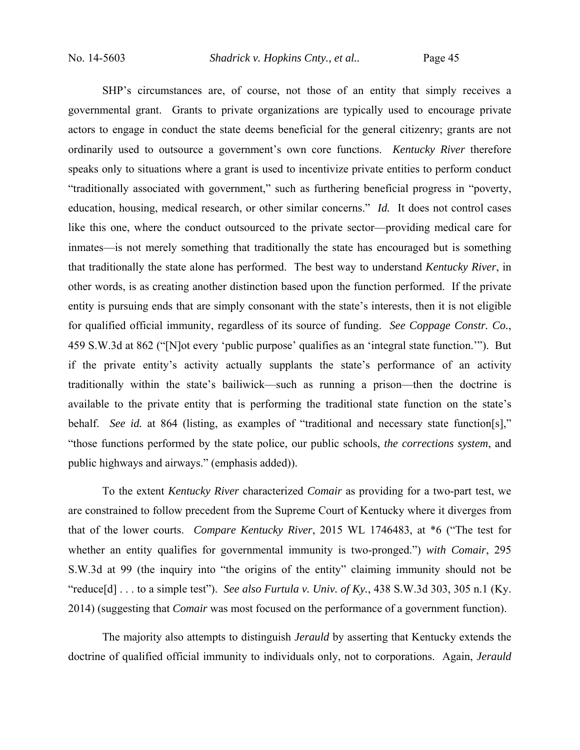SHP's circumstances are, of course, not those of an entity that simply receives a governmental grant. Grants to private organizations are typically used to encourage private actors to engage in conduct the state deems beneficial for the general citizenry; grants are not ordinarily used to outsource a government's own core functions. *Kentucky River* therefore speaks only to situations where a grant is used to incentivize private entities to perform conduct "traditionally associated with government," such as furthering beneficial progress in "poverty, education, housing, medical research, or other similar concerns." *Id.* It does not control cases like this one, where the conduct outsourced to the private sector—providing medical care for inmates—is not merely something that traditionally the state has encouraged but is something that traditionally the state alone has performed. The best way to understand *Kentucky River*, in other words, is as creating another distinction based upon the function performed. If the private entity is pursuing ends that are simply consonant with the state's interests, then it is not eligible for qualified official immunity, regardless of its source of funding. *See Coppage Constr. Co.*, 459 S.W.3d at 862 ("[N]ot every 'public purpose' qualifies as an 'integral state function.'"). But if the private entity's activity actually supplants the state's performance of an activity traditionally within the state's bailiwick—such as running a prison—then the doctrine is available to the private entity that is performing the traditional state function on the state's behalf. *See id.* at 864 (listing, as examples of "traditional and necessary state function[s]," "those functions performed by the state police, our public schools, *the corrections system*, and public highways and airways." (emphasis added)).

To the extent *Kentucky River* characterized *Comair* as providing for a two-part test, we are constrained to follow precedent from the Supreme Court of Kentucky where it diverges from that of the lower courts. *Compare Kentucky River*, 2015 WL 1746483, at \*6 ("The test for whether an entity qualifies for governmental immunity is two-pronged.") *with Comair*, 295 S.W.3d at 99 (the inquiry into "the origins of the entity" claiming immunity should not be "reduce[d] . . . to a simple test"). *See also Furtula v. Univ. of Ky.*, 438 S.W.3d 303, 305 n.1 (Ky. 2014) (suggesting that *Comair* was most focused on the performance of a government function).

The majority also attempts to distinguish *Jerauld* by asserting that Kentucky extends the doctrine of qualified official immunity to individuals only, not to corporations. Again, *Jerauld*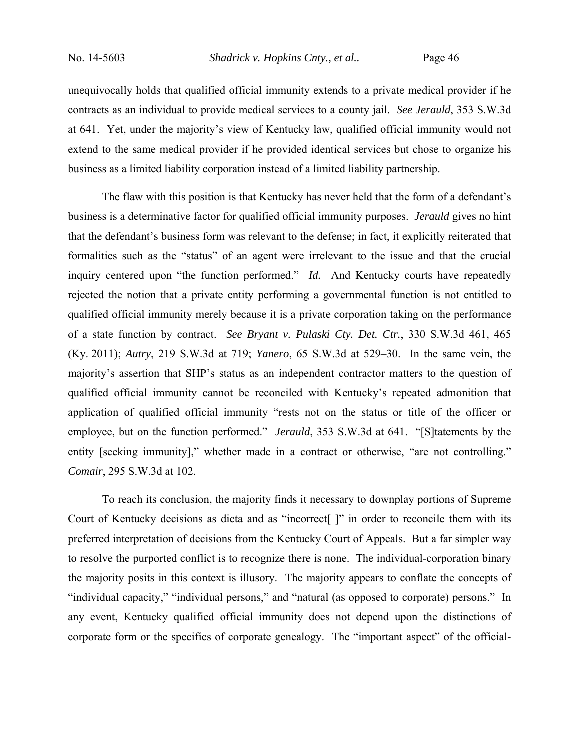unequivocally holds that qualified official immunity extends to a private medical provider if he contracts as an individual to provide medical services to a county jail. *See Jerauld*, 353 S.W.3d at 641. Yet, under the majority's view of Kentucky law, qualified official immunity would not extend to the same medical provider if he provided identical services but chose to organize his business as a limited liability corporation instead of a limited liability partnership.

The flaw with this position is that Kentucky has never held that the form of a defendant's business is a determinative factor for qualified official immunity purposes. *Jerauld* gives no hint that the defendant's business form was relevant to the defense; in fact, it explicitly reiterated that formalities such as the "status" of an agent were irrelevant to the issue and that the crucial inquiry centered upon "the function performed." *Id.* And Kentucky courts have repeatedly rejected the notion that a private entity performing a governmental function is not entitled to qualified official immunity merely because it is a private corporation taking on the performance of a state function by contract. *See Bryant v. Pulaski Cty. Det. Ctr.*, 330 S.W.3d 461, 465 (Ky. 2011); *Autry*, 219 S.W.3d at 719; *Yanero*, 65 S.W.3d at 529–30. In the same vein, the majority's assertion that SHP's status as an independent contractor matters to the question of qualified official immunity cannot be reconciled with Kentucky's repeated admonition that application of qualified official immunity "rests not on the status or title of the officer or employee, but on the function performed." *Jerauld*, 353 S.W.3d at 641. "[S]tatements by the entity [seeking immunity]," whether made in a contract or otherwise, "are not controlling." *Comair*, 295 S.W.3d at 102.

To reach its conclusion, the majority finds it necessary to downplay portions of Supreme Court of Kentucky decisions as dicta and as "incorrect[ ]" in order to reconcile them with its preferred interpretation of decisions from the Kentucky Court of Appeals. But a far simpler way to resolve the purported conflict is to recognize there is none. The individual-corporation binary the majority posits in this context is illusory. The majority appears to conflate the concepts of "individual capacity," "individual persons," and "natural (as opposed to corporate) persons." In any event, Kentucky qualified official immunity does not depend upon the distinctions of corporate form or the specifics of corporate genealogy. The "important aspect" of the official